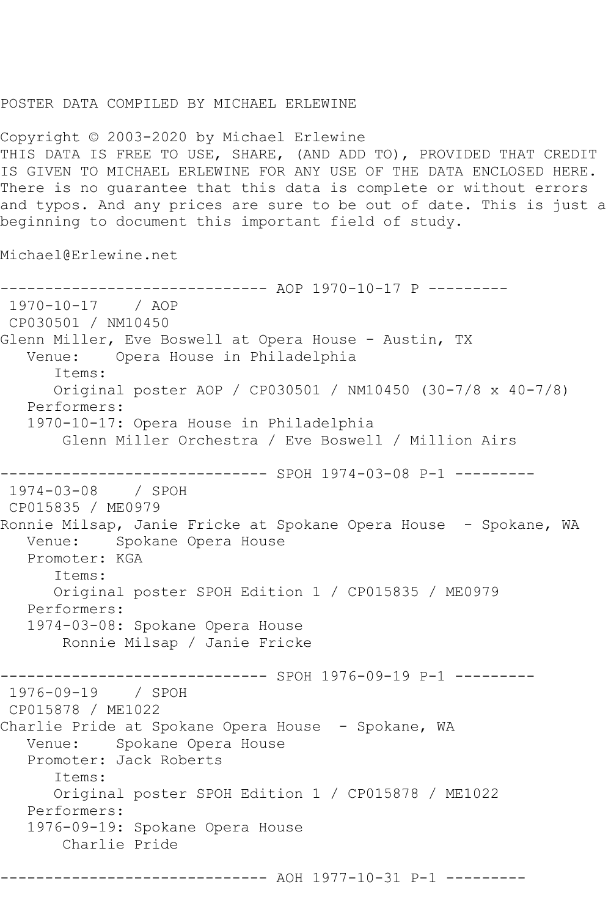## POSTER DATA COMPILED BY MICHAEL ERLEWINE

Copyright © 2003-2020 by Michael Erlewine THIS DATA IS FREE TO USE, SHARE, (AND ADD TO), PROVIDED THAT CREDIT IS GIVEN TO MICHAEL ERLEWINE FOR ANY USE OF THE DATA ENCLOSED HERE. There is no guarantee that this data is complete or without errors and typos. And any prices are sure to be out of date. This is just a beginning to document this important field of study.

Michael@Erlewine.net

-------------------- AOP 1970-10-17 P ---------1970-10-17 / AOP CP030501 / NM10450 Glenn Miller, Eve Boswell at Opera House - Austin, TX Venue: Opera House in Philadelphia Items: Original poster AOP / CP030501 / NM10450 (30-7/8 x 40-7/8) Performers: 1970-10-17: Opera House in Philadelphia Glenn Miller Orchestra / Eve Boswell / Million Airs ------------------------------ SPOH 1974-03-08 P-1 --------- 1974-03-08 / SPOH CP015835 / ME0979 Ronnie Milsap, Janie Fricke at Spokane Opera House - Spokane, WA Venue: Spokane Opera House Promoter: KGA Items: Original poster SPOH Edition 1 / CP015835 / ME0979 Performers: 1974-03-08: Spokane Opera House Ronnie Milsap / Janie Fricke --------- SPOH 1976-09-19 P-1 ---------1976-09-19 / SPOH CP015878 / ME1022 Charlie Pride at Spokane Opera House - Spokane, WA Venue: Spokane Opera House Promoter: Jack Roberts Items: Original poster SPOH Edition 1 / CP015878 / ME1022 Performers: 1976-09-19: Spokane Opera House Charlie Pride ------------------------------ AOH 1977-10-31 P-1 ---------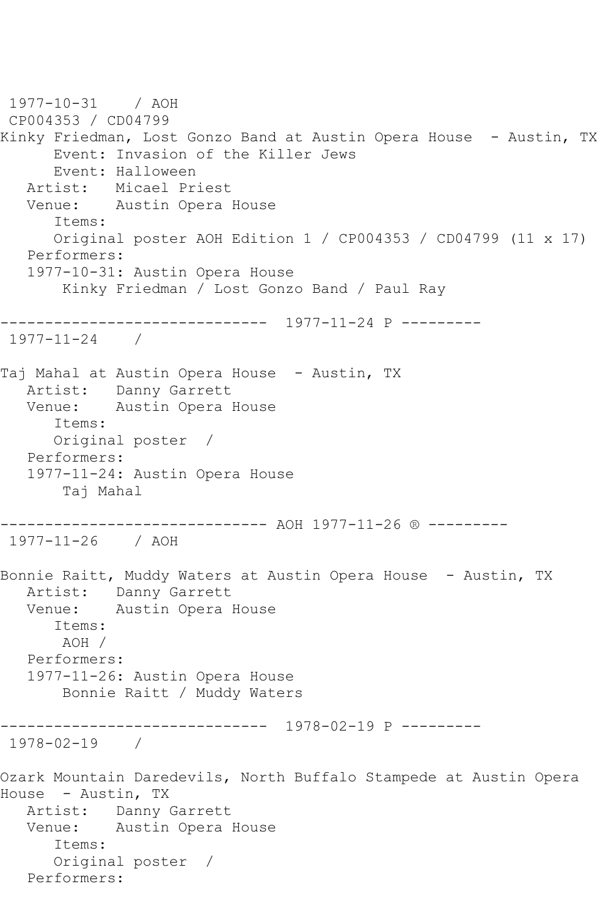1977-10-31 / AOH CP004353 / CD04799 Kinky Friedman, Lost Gonzo Band at Austin Opera House - Austin, TX Event: Invasion of the Killer Jews Event: Halloween Artist: Micael Priest Venue: Austin Opera House Items: Original poster AOH Edition 1 / CP004353 / CD04799 (11 x 17) Performers: 1977-10-31: Austin Opera House Kinky Friedman / Lost Gonzo Band / Paul Ray ------------------------------ 1977-11-24 P --------- 1977-11-24 / Taj Mahal at Austin Opera House - Austin, TX Artist: Danny Garrett Venue: Austin Opera House Items: Original poster / Performers: 1977-11-24: Austin Opera House Taj Mahal ------------------------------ AOH 1977-11-26 ® --------- 1977-11-26 / AOH Bonnie Raitt, Muddy Waters at Austin Opera House - Austin, TX Artist: Danny Garrett Venue: Austin Opera House Items: AOH / Performers: 1977-11-26: Austin Opera House Bonnie Raitt / Muddy Waters ------------------------------ 1978-02-19 P --------- 1978-02-19 / Ozark Mountain Daredevils, North Buffalo Stampede at Austin Opera House - Austin, TX Artist: Danny Garrett Venue: Austin Opera House Items: Original poster / Performers: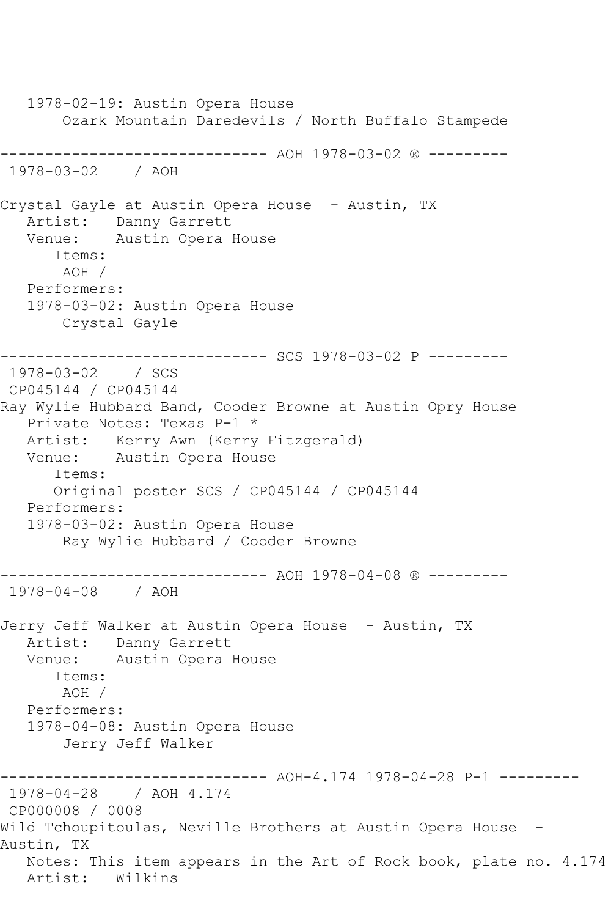1978-02-19: Austin Opera House Ozark Mountain Daredevils / North Buffalo Stampede ------------------------------ AOH 1978-03-02 ® --------- 1978-03-02 / AOH Crystal Gayle at Austin Opera House - Austin, TX Artist: Danny Garrett Venue: Austin Opera House Items: AOH / Performers: 1978-03-02: Austin Opera House Crystal Gayle ------------------------------ SCS 1978-03-02 P --------- 1978-03-02 / SCS CP045144 / CP045144 Ray Wylie Hubbard Band, Cooder Browne at Austin Opry House Private Notes: Texas P-1 \* Artist: Kerry Awn (Kerry Fitzgerald) Venue: Austin Opera House Items: Original poster SCS / CP045144 / CP045144 Performers: 1978-03-02: Austin Opera House Ray Wylie Hubbard / Cooder Browne ------------------------------ AOH 1978-04-08 ® --------- 1978-04-08 / AOH Jerry Jeff Walker at Austin Opera House - Austin, TX Artist: Danny Garrett Venue: Austin Opera House Items: AOH / Performers: 1978-04-08: Austin Opera House Jerry Jeff Walker ------------------------------ AOH-4.174 1978-04-28 P-1 --------- 1978-04-28 / AOH 4.174 CP000008 / 0008 Wild Tchoupitoulas, Neville Brothers at Austin Opera House -Austin, TX Notes: This item appears in the Art of Rock book, plate no. 4.174 Artist: Wilkins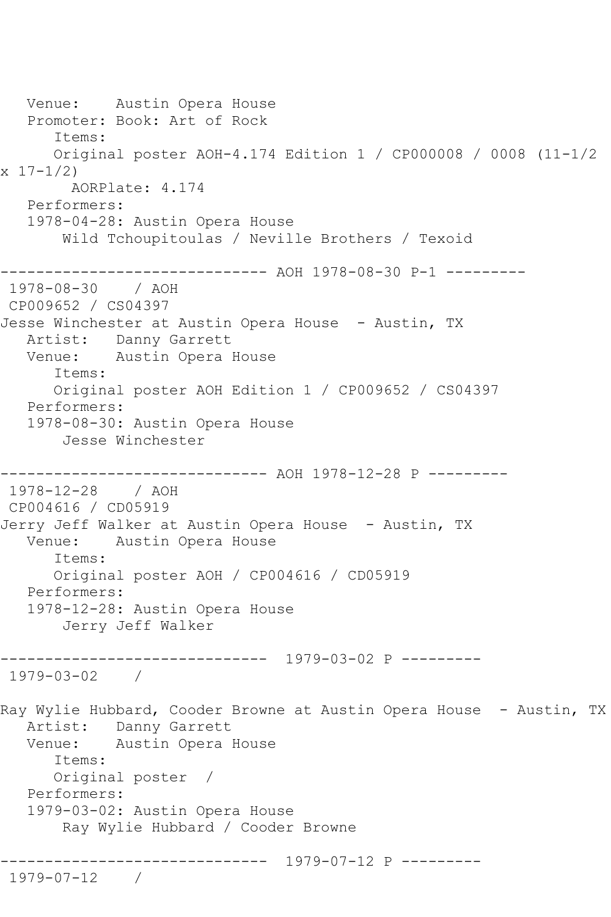Venue: Austin Opera House Promoter: Book: Art of Rock Items: Original poster AOH-4.174 Edition 1 / CP000008 / 0008 (11-1/2  $x 17-1/2$  AORPlate: 4.174 Performers: 1978-04-28: Austin Opera House Wild Tchoupitoulas / Neville Brothers / Texoid ------------------------------ AOH 1978-08-30 P-1 --------- 1978-08-30 / AOH CP009652 / CS04397 Jesse Winchester at Austin Opera House - Austin, TX Artist: Danny Garrett Venue: Austin Opera House Items: Original poster AOH Edition 1 / CP009652 / CS04397 Performers: 1978-08-30: Austin Opera House Jesse Winchester ------------------------------ AOH 1978-12-28 P --------- 1978-12-28 / AOH CP004616 / CD05919 Jerry Jeff Walker at Austin Opera House - Austin, TX<br>Venue: Austin Opera House Austin Opera House Items: Original poster AOH / CP004616 / CD05919 Performers: 1978-12-28: Austin Opera House Jerry Jeff Walker ------------------------------ 1979-03-02 P --------- 1979-03-02 / Ray Wylie Hubbard, Cooder Browne at Austin Opera House - Austin, TX Artist: Danny Garrett Venue: Austin Opera House Items: Original poster / Performers: 1979-03-02: Austin Opera House Ray Wylie Hubbard / Cooder Browne ------------------------------ 1979-07-12 P --------- 1979-07-12 /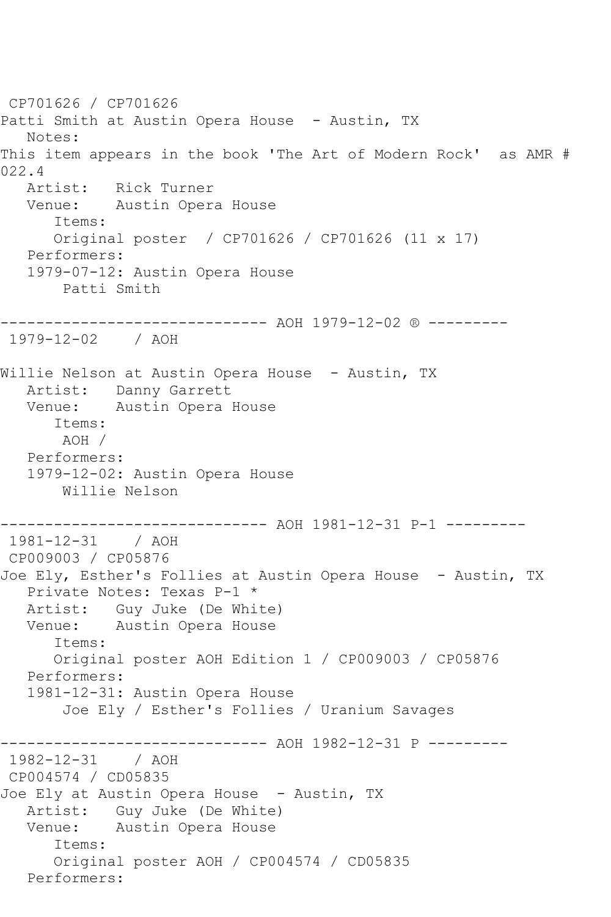CP701626 / CP701626 Patti Smith at Austin Opera House - Austin, TX Notes: This item appears in the book 'The Art of Modern Rock' as AMR #  $022.4$ <br>Artist: Rick Turner Venue: Austin Opera House Items: Original poster / CP701626 / CP701626 (11 x 17) Performers: 1979-07-12: Austin Opera House Patti Smith ------------------------------ AOH 1979-12-02 ® --------- 1979-12-02 / AOH Willie Nelson at Austin Opera House - Austin, TX Artist: Danny Garrett Venue: Austin Opera House Items: AOH / Performers: 1979-12-02: Austin Opera House Willie Nelson ------------------------------ AOH 1981-12-31 P-1 --------- 1981-12-31 / AOH CP009003 / CP05876 Joe Ely, Esther's Follies at Austin Opera House - Austin, TX Private Notes: Texas P-1 \* Artist: Guy Juke (De White) Venue: Austin Opera House Items: Original poster AOH Edition 1 / CP009003 / CP05876 Performers: 1981-12-31: Austin Opera House Joe Ely / Esther's Follies / Uranium Savages ------------------------------ AOH 1982-12-31 P --------- 1982-12-31 / AOH CP004574 / CD05835 Joe Ely at Austin Opera House - Austin, TX Artist: Guy Juke (De White) Venue: Austin Opera House Items: Original poster AOH / CP004574 / CD05835 Performers: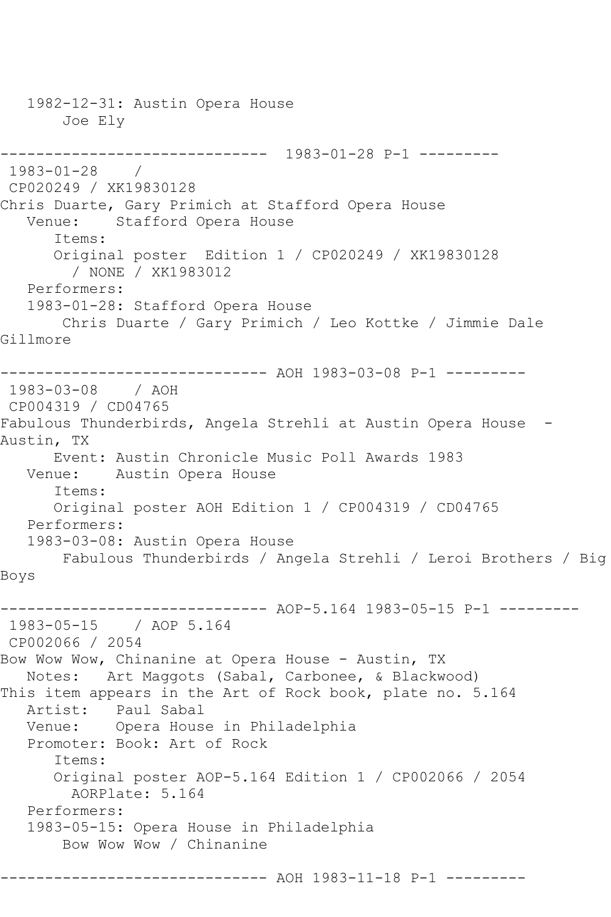1982-12-31: Austin Opera House Joe Ely ------------------------------ 1983-01-28 P-1 --------- 1983-01-28 / CP020249 / XK19830128 Chris Duarte, Gary Primich at Stafford Opera House<br>Venue: Stafford Opera House Stafford Opera House Items: Original poster Edition 1 / CP020249 / XK19830128 / NONE / XK1983012 Performers: 1983-01-28: Stafford Opera House Chris Duarte / Gary Primich / Leo Kottke / Jimmie Dale Gillmore ------------------------------ AOH 1983-03-08 P-1 --------- 1983-03-08 / AOH CP004319 / CD04765 Fabulous Thunderbirds, Angela Strehli at Austin Opera House - Austin, TX Event: Austin Chronicle Music Poll Awards 1983 Venue: Austin Opera House Items: Original poster AOH Edition 1 / CP004319 / CD04765 Performers: 1983-03-08: Austin Opera House Fabulous Thunderbirds / Angela Strehli / Leroi Brothers / Big Boys ------------------------------ AOP-5.164 1983-05-15 P-1 --------- 1983-05-15 / AOP 5.164 CP002066 / 2054 Bow Wow Wow, Chinanine at Opera House - Austin, TX Notes: Art Maggots (Sabal, Carbonee, & Blackwood) This item appears in the Art of Rock book, plate no. 5.164 Artist: Paul Sabal Venue: Opera House in Philadelphia Promoter: Book: Art of Rock Items: Original poster AOP-5.164 Edition 1 / CP002066 / 2054 AORPlate: 5.164 Performers: 1983-05-15: Opera House in Philadelphia Bow Wow Wow / Chinanine ------------------------------ AOH 1983-11-18 P-1 ---------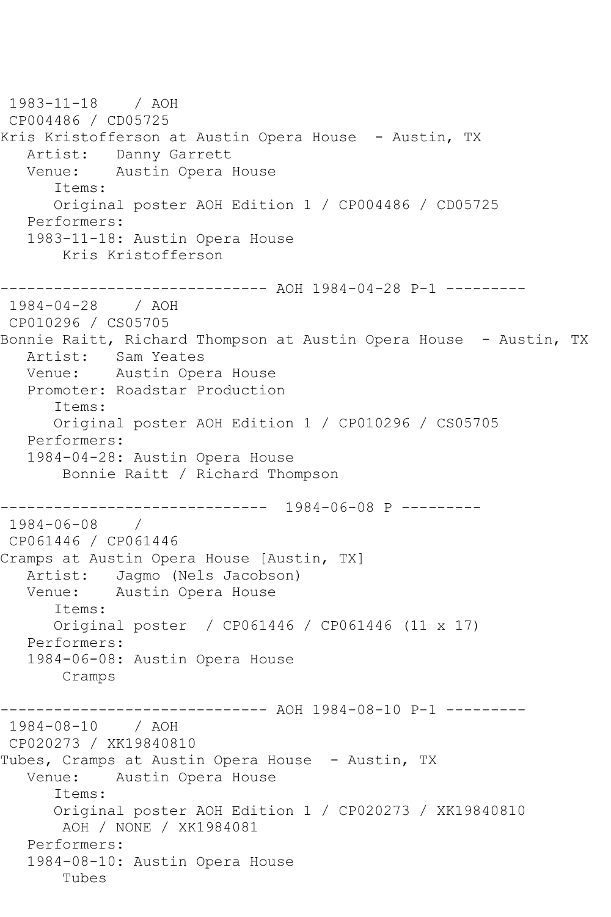1983-11-18 / AOH CP004486 / CD05725 Kris Kristofferson at Austin Opera House - Austin, TX Artist: Danny Garrett<br>Venue: Austin Opera Austin Opera House Items: Original poster AOH Edition 1 / CP004486 / CD05725 Performers: 1983-11-18: Austin Opera House Kris Kristofferson ------------------------------ AOH 1984-04-28 P-1 --------- 1984-04-28 / AOH CP010296 / CS05705 Bonnie Raitt, Richard Thompson at Austin Opera House - Austin, TX Artist: Sam Yeates Venue: Austin Opera House Promoter: Roadstar Production Items: Original poster AOH Edition 1 / CP010296 / CS05705 Performers: 1984-04-28: Austin Opera House Bonnie Raitt / Richard Thompson ------------------------------ 1984-06-08 P --------- 1984-06-08 / CP061446 / CP061446 Cramps at Austin Opera House [Austin, TX] Artist: Jagmo (Nels Jacobson) Venue: Austin Opera House Items: Original poster / CP061446 / CP061446 (11 x 17) Performers: 1984-06-08: Austin Opera House Cramps ------------------------------ AOH 1984-08-10 P-1 --------- 1984-08-10 / AOH CP020273 / XK19840810 Tubes, Cramps at Austin Opera House - Austin, TX Venue: Austin Opera House Items: Original poster AOH Edition 1 / CP020273 / XK19840810 AOH / NONE / XK1984081 Performers: 1984-08-10: Austin Opera House Tubes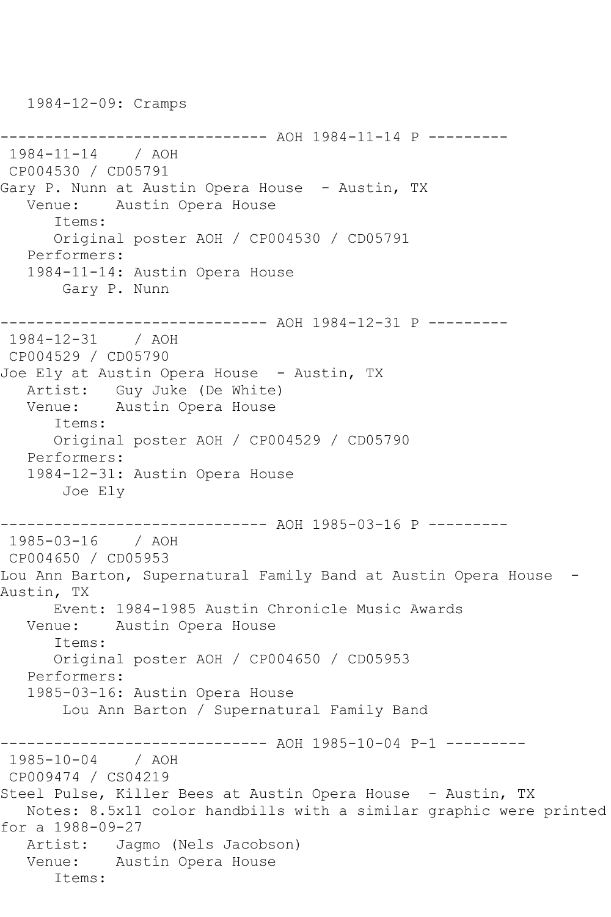1984-12-09: Cramps ------------------------------ AOH 1984-11-14 P --------- 1984-11-14 / AOH CP004530 / CD05791 Gary P. Nunn at Austin Opera House - Austin, TX Venue: Austin Opera House Items: Original poster AOH / CP004530 / CD05791 Performers: 1984-11-14: Austin Opera House Gary P. Nunn ------------------------------ AOH 1984-12-31 P --------- 1984-12-31 / AOH CP004529 / CD05790 Joe Ely at Austin Opera House - Austin, TX Artist: Guy Juke (De White) Venue: Austin Opera House Items: Original poster AOH / CP004529 / CD05790 Performers: 1984-12-31: Austin Opera House Joe Ely ------------------------------ AOH 1985-03-16 P --------- 1985-03-16 / AOH CP004650 / CD05953 Lou Ann Barton, Supernatural Family Band at Austin Opera House -Austin, TX Event: 1984-1985 Austin Chronicle Music Awards Venue: Austin Opera House Items: Original poster AOH / CP004650 / CD05953 Performers: 1985-03-16: Austin Opera House Lou Ann Barton / Supernatural Family Band ------------------------------ AOH 1985-10-04 P-1 --------- 1985-10-04 / AOH CP009474 / CS04219 Steel Pulse, Killer Bees at Austin Opera House - Austin, TX Notes: 8.5x11 color handbills with a similar graphic were printed for a 1988-09-27 Artist: Jagmo (Nels Jacobson) Venue: Austin Opera House Items: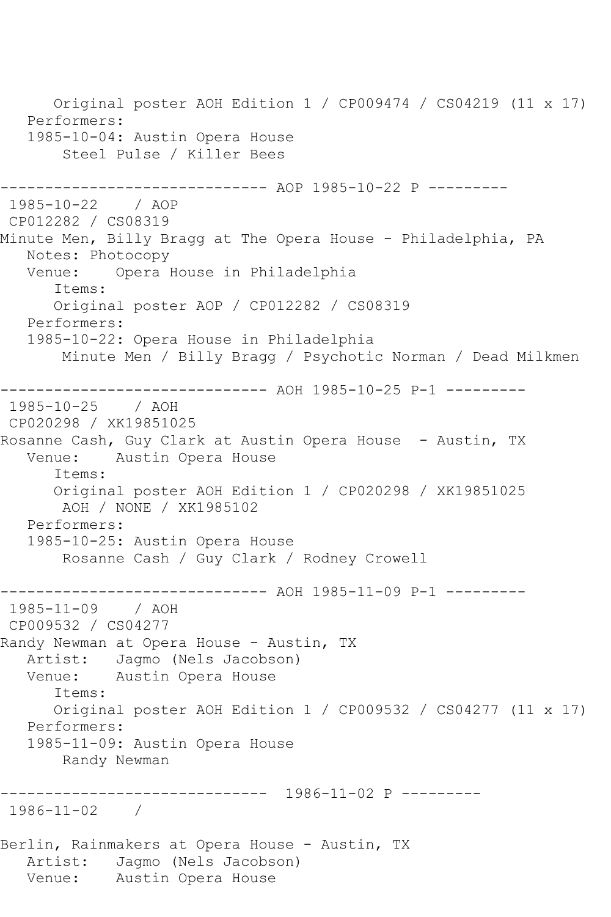Original poster AOH Edition 1 / CP009474 / CS04219 (11 x 17) Performers: 1985-10-04: Austin Opera House Steel Pulse / Killer Bees ------------ AOP 1985-10-22 P ---------1985-10-22 / AOP CP012282 / CS08319 Minute Men, Billy Bragg at The Opera House - Philadelphia, PA Notes: Photocopy Venue: Opera House in Philadelphia Items: Original poster AOP / CP012282 / CS08319 Performers: 1985-10-22: Opera House in Philadelphia Minute Men / Billy Bragg / Psychotic Norman / Dead Milkmen ------------------------------ AOH 1985-10-25 P-1 --------- 1985-10-25 / AOH CP020298 / XK19851025 Rosanne Cash, Guy Clark at Austin Opera House - Austin, TX Venue: Austin Opera House Items: Original poster AOH Edition 1 / CP020298 / XK19851025 AOH / NONE / XK1985102 Performers: 1985-10-25: Austin Opera House Rosanne Cash / Guy Clark / Rodney Crowell ------------------------------ AOH 1985-11-09 P-1 ---------<br>1985-11-09 / AOH  $1985 - 11 - 09$ CP009532 / CS04277 Randy Newman at Opera House - Austin, TX Artist: Jagmo (Nels Jacobson) Venue: Austin Opera House Items: Original poster AOH Edition 1 / CP009532 / CS04277 (11 x 17) Performers: 1985-11-09: Austin Opera House Randy Newman ------------------------------ 1986-11-02 P --------- 1986-11-02 / Berlin, Rainmakers at Opera House - Austin, TX Artist: Jagmo (Nels Jacobson) Venue: Austin Opera House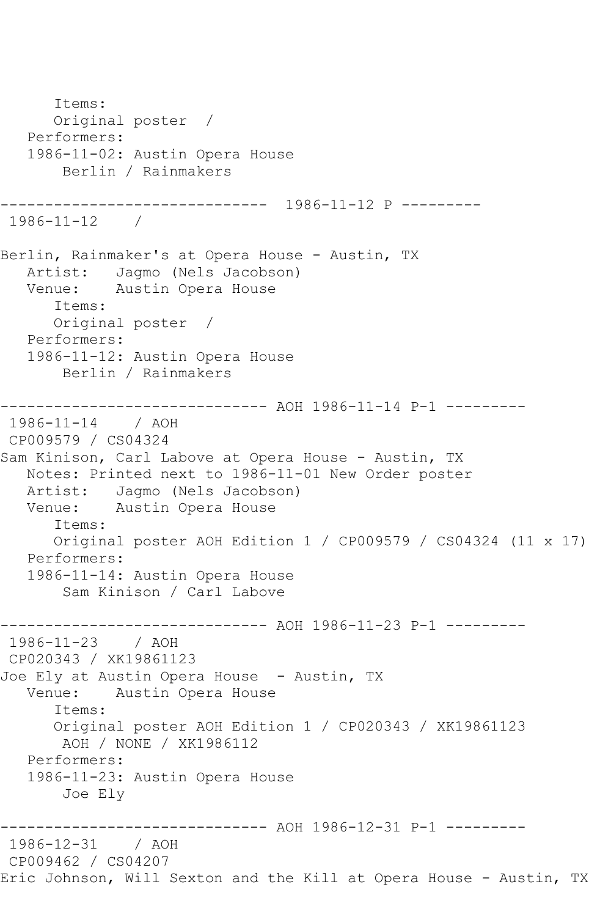Items: Original poster / Performers: 1986-11-02: Austin Opera House Berlin / Rainmakers ------------------------------ 1986-11-12 P --------- 1986-11-12 / Berlin, Rainmaker's at Opera House - Austin, TX Artist: Jagmo (Nels Jacobson) Venue: Austin Opera House Items: Original poster / Performers: 1986-11-12: Austin Opera House Berlin / Rainmakers ---------- AOH 1986-11-14 P-1 ---------1986-11-14 / AOH CP009579 / CS04324 Sam Kinison, Carl Labove at Opera House - Austin, TX Notes: Printed next to 1986-11-01 New Order poster Artist: Jagmo (Nels Jacobson) Venue: Austin Opera House Items: Original poster AOH Edition 1 / CP009579 / CS04324 (11 x 17) Performers: 1986-11-14: Austin Opera House Sam Kinison / Carl Labove ------------------------------ AOH 1986-11-23 P-1 --------- 1986-11-23 / AOH CP020343 / XK19861123 Joe Ely at Austin Opera House - Austin, TX Venue: Austin Opera House Items: Original poster AOH Edition 1 / CP020343 / XK19861123 AOH / NONE / XK1986112 Performers: 1986-11-23: Austin Opera House Joe Ely ------------------------------ AOH 1986-12-31 P-1 --------- 1986-12-31 / AOH CP009462 / CS04207 Eric Johnson, Will Sexton and the Kill at Opera House - Austin, TX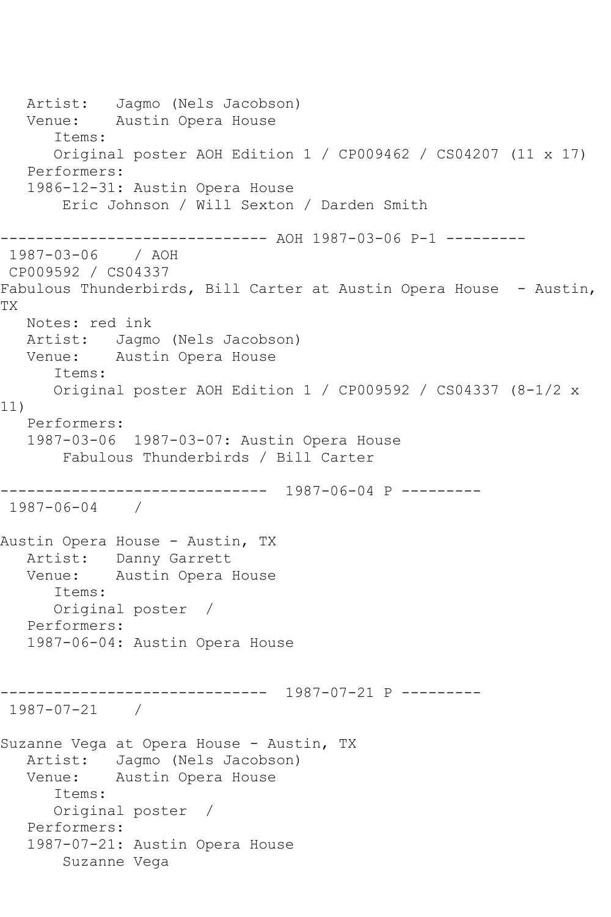Artist: Jagmo (Nels Jacobson) Venue: Austin Opera House Items: Original poster AOH Edition 1 / CP009462 / CS04207 (11 x 17) Performers: 1986-12-31: Austin Opera House Eric Johnson / Will Sexton / Darden Smith ------------------ AOH 1987-03-06 P-1 ---------1987-03-06 / AOH CP009592 / CS04337 Fabulous Thunderbirds, Bill Carter at Austin Opera House - Austin, TX Notes: red ink Artist: Jagmo (Nels Jacobson) Venue: Austin Opera House Items: Original poster AOH Edition 1 / CP009592 / CS04337 (8-1/2 x 11) Performers: 1987-03-06 1987-03-07: Austin Opera House Fabulous Thunderbirds / Bill Carter ------------------------------ 1987-06-04 P --------- 1987-06-04 / Austin Opera House - Austin, TX Artist: Danny Garrett Venue: Austin Opera House Items: Original poster / Performers: 1987-06-04: Austin Opera House ------------------------------ 1987-07-21 P --------- 1987-07-21 / Suzanne Vega at Opera House - Austin, TX Artist: Jagmo (Nels Jacobson) Venue: Austin Opera House Items: Original poster / Performers: 1987-07-21: Austin Opera House Suzanne Vega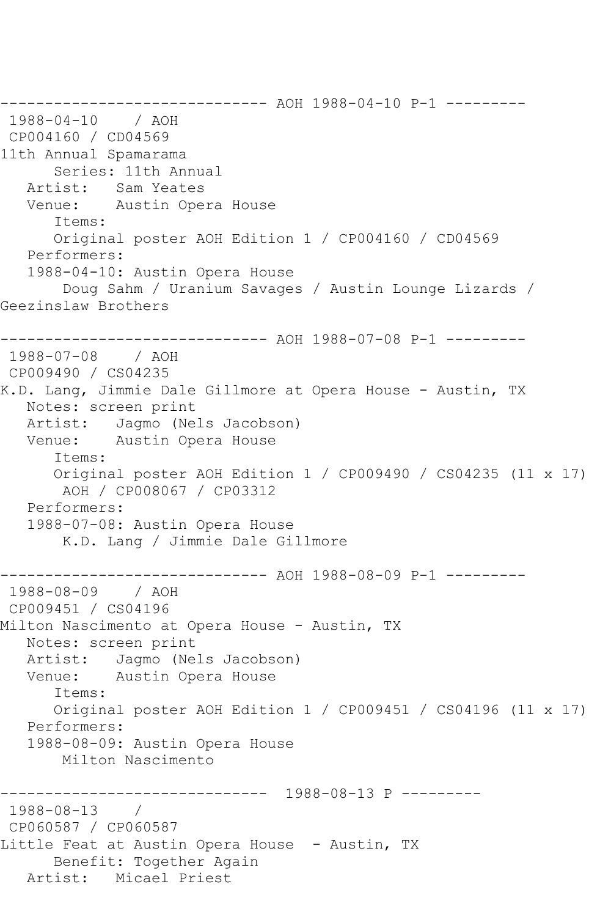------------------------------ AOH 1988-04-10 P-1 ---------<br>1988-04-10 / AOH  $1988 - 04 - 10$ CP004160 / CD04569 11th Annual Spamarama Series: 11th Annual<br>Artist: Sam Yeates Sam Yeates Venue: Austin Opera House Items: Original poster AOH Edition 1 / CP004160 / CD04569 Performers: 1988-04-10: Austin Opera House Doug Sahm / Uranium Savages / Austin Lounge Lizards / Geezinslaw Brothers ------------------------------ AOH 1988-07-08 P-1 --------- 1988-07-08 / AOH CP009490 / CS04235 K.D. Lang, Jimmie Dale Gillmore at Opera House - Austin, TX Notes: screen print Artist: Jagmo (Nels Jacobson) Venue: Austin Opera House Items: Original poster AOH Edition 1 / CP009490 / CS04235 (11 x 17) AOH / CP008067 / CP03312 Performers: 1988-07-08: Austin Opera House K.D. Lang / Jimmie Dale Gillmore ------------------------------ AOH 1988-08-09 P-1 --------- 1988-08-09 / AOH CP009451 / CS04196 Milton Nascimento at Opera House - Austin, TX Notes: screen print Artist: Jagmo (Nels Jacobson) Venue: Austin Opera House Items: Original poster AOH Edition 1 / CP009451 / CS04196 (11 x 17) Performers: 1988-08-09: Austin Opera House Milton Nascimento ------------------------------ 1988-08-13 P --------- 1988-08-13 / CP060587 / CP060587 Little Feat at Austin Opera House - Austin, TX Benefit: Together Again Artist: Micael Priest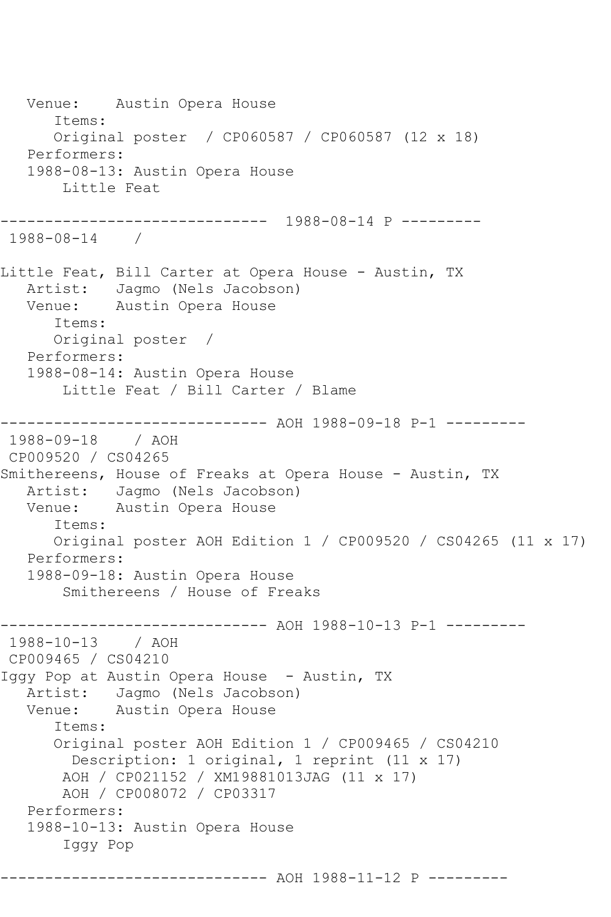Venue: Austin Opera House Items: Original poster / CP060587 / CP060587 (12 x 18) Performers: 1988-08-13: Austin Opera House Little Feat ------------------------------ 1988-08-14 P --------- 1988-08-14 / Little Feat, Bill Carter at Opera House - Austin, TX Artist: Jagmo (Nels Jacobson)<br>Venue: Austin Opera House Austin Opera House Items: Original poster / Performers: 1988-08-14: Austin Opera House Little Feat / Bill Carter / Blame ------------------------------ AOH 1988-09-18 P-1 ---------<br>1988-09-18 / AOH  $1988 - 09 - 18$ CP009520 / CS04265 Smithereens, House of Freaks at Opera House - Austin, TX Artist: Jagmo (Nels Jacobson) Venue: Austin Opera House Items: Original poster AOH Edition 1 / CP009520 / CS04265 (11 x 17) Performers: 1988-09-18: Austin Opera House Smithereens / House of Freaks ------------------------------ AOH 1988-10-13 P-1 --------- 1988-10-13 / AOH CP009465 / CS04210 Iggy Pop at Austin Opera House - Austin, TX Artist: Jagmo (Nels Jacobson) Venue: Austin Opera House Items: Original poster AOH Edition 1 / CP009465 / CS04210 Description: 1 original, 1 reprint (11 x 17) AOH / CP021152 / XM19881013JAG (11 x 17) AOH / CP008072 / CP03317 Performers: 1988-10-13: Austin Opera House Iggy Pop ------------------ AOH 1988-11-12 P ---------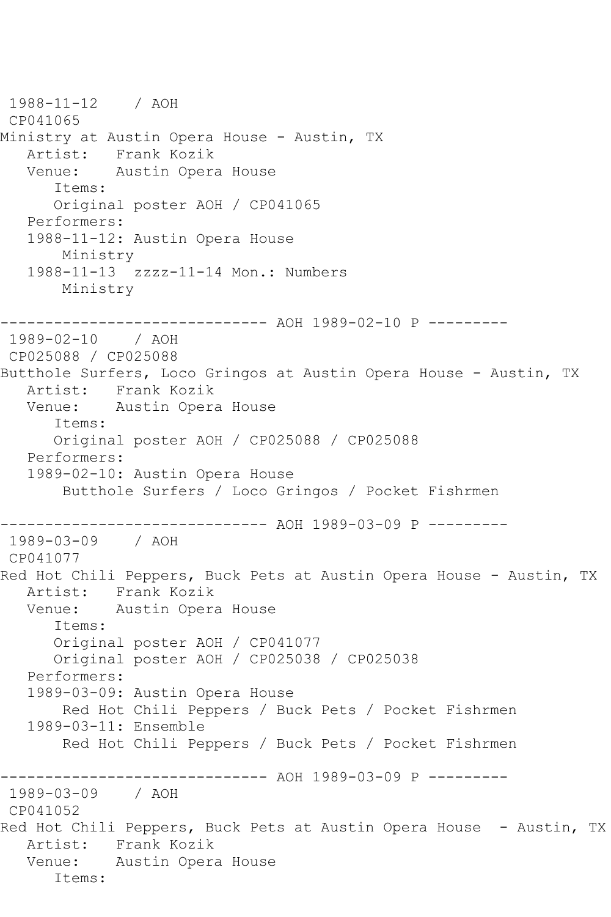1988-11-12 / AOH CP041065 Ministry at Austin Opera House - Austin, TX Artist: Frank Kozik<br>Venue: Austin Opera Austin Opera House Items: Original poster AOH / CP041065 Performers: 1988-11-12: Austin Opera House Ministry 1988-11-13 zzzz-11-14 Mon.: Numbers Ministry ------------------------------ AOH 1989-02-10 P --------- 1989-02-10 / AOH CP025088 / CP025088 Butthole Surfers, Loco Gringos at Austin Opera House - Austin, TX Artist: Frank Kozik Venue: Austin Opera House Items: Original poster AOH / CP025088 / CP025088 Performers: 1989-02-10: Austin Opera House Butthole Surfers / Loco Gringos / Pocket Fishrmen ------------------------------ AOH 1989-03-09 P ---------<br>1989-03-09 / AOH 1989-03-09 CP041077 Red Hot Chili Peppers, Buck Pets at Austin Opera House - Austin, TX Artist: Frank Kozik Venue: Austin Opera House Items: Original poster AOH / CP041077 Original poster AOH / CP025038 / CP025038 Performers: 1989-03-09: Austin Opera House Red Hot Chili Peppers / Buck Pets / Pocket Fishrmen 1989-03-11: Ensemble Red Hot Chili Peppers / Buck Pets / Pocket Fishrmen ------------ AOH 1989-03-09 P ---------1989-03-09 / AOH CP041052 Red Hot Chili Peppers, Buck Pets at Austin Opera House - Austin, TX Artist: Frank Kozik Venue: Austin Opera House Items: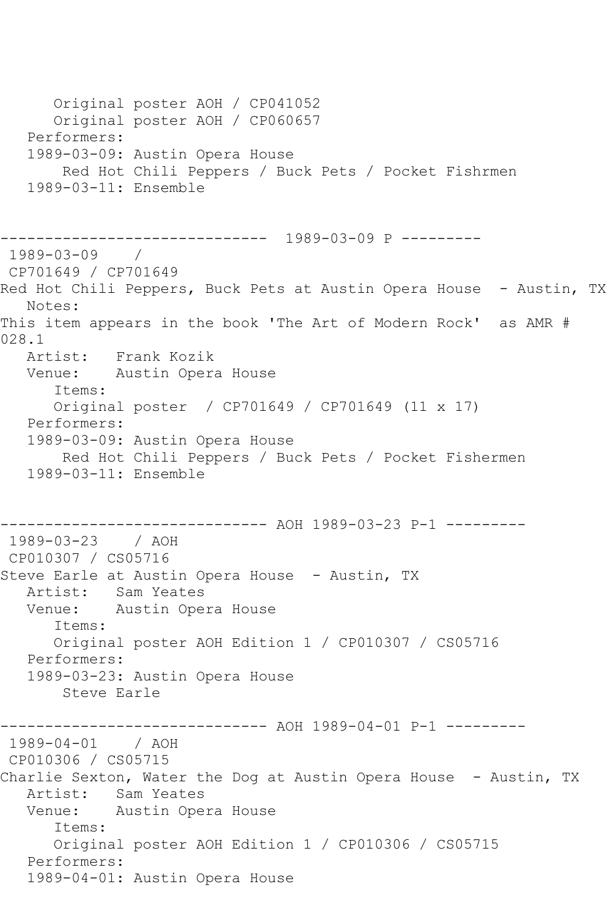Original poster AOH / CP041052 Original poster AOH / CP060657 Performers: 1989-03-09: Austin Opera House Red Hot Chili Peppers / Buck Pets / Pocket Fishrmen 1989-03-11: Ensemble ------------------------------ 1989-03-09 P --------- 1989-03-09 / CP701649 / CP701649 Red Hot Chili Peppers, Buck Pets at Austin Opera House - Austin, TX Notes: This item appears in the book 'The Art of Modern Rock' as AMR # 028.1 Artist: Frank Kozik Venue: Austin Opera House Items: Original poster / CP701649 / CP701649 (11 x 17) Performers: 1989-03-09: Austin Opera House Red Hot Chili Peppers / Buck Pets / Pocket Fishermen 1989-03-11: Ensemble ------------------------------ AOH 1989-03-23 P-1 --------- 1989-03-23 / AOH CP010307 / CS05716 Steve Earle at Austin Opera House - Austin, TX Artist: Sam Yeates Venue: Austin Opera House Items: Original poster AOH Edition 1 / CP010307 / CS05716 Performers: 1989-03-23: Austin Opera House Steve Earle ----------- AOH 1989-04-01 P-1 ---------1989-04-01 / AOH CP010306 / CS05715 Charlie Sexton, Water the Dog at Austin Opera House - Austin, TX Artist: Sam Yeates Venue: Austin Opera House Items: Original poster AOH Edition 1 / CP010306 / CS05715 Performers: 1989-04-01: Austin Opera House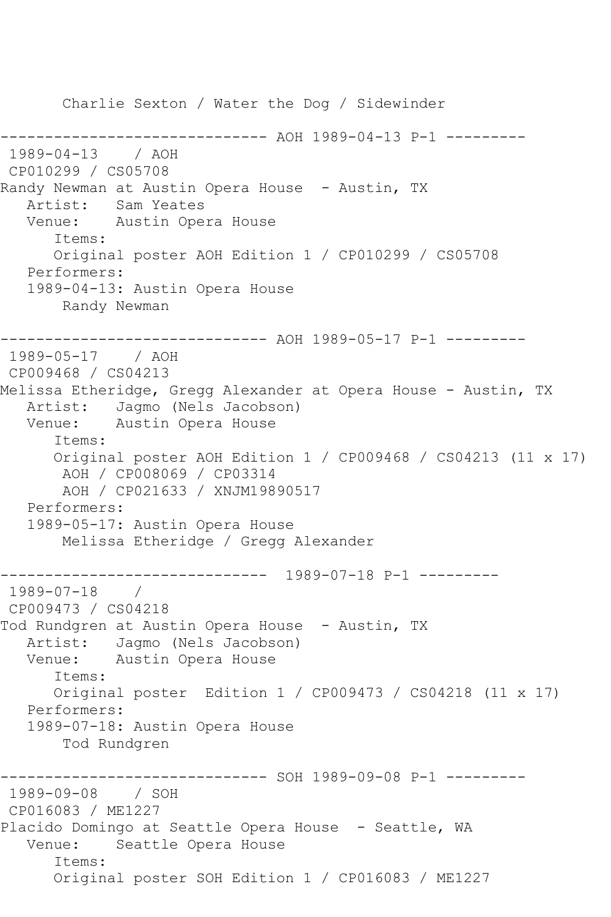Charlie Sexton / Water the Dog / Sidewinder ------------ AOH 1989-04-13 P-1 ---------1989-04-13 / AOH CP010299 / CS05708 Randy Newman at Austin Opera House - Austin, TX Artist: Sam Yeates Venue: Austin Opera House Items: Original poster AOH Edition 1 / CP010299 / CS05708 Performers: 1989-04-13: Austin Opera House Randy Newman ------------------------------ AOH 1989-05-17 P-1 --------- 1989-05-17 / AOH CP009468 / CS04213 Melissa Etheridge, Gregg Alexander at Opera House - Austin, TX Artist: Jagmo (Nels Jacobson)<br>Venue: Austin Opera House Austin Opera House Items: Original poster AOH Edition 1 / CP009468 / CS04213 (11 x 17) AOH / CP008069 / CP03314 AOH / CP021633 / XNJM19890517 Performers: 1989-05-17: Austin Opera House Melissa Etheridge / Gregg Alexander ------------------------------ 1989-07-18 P-1 --------- 1989-07-18 / CP009473 / CS04218 Tod Rundgren at Austin Opera House - Austin, TX Artist: Jagmo (Nels Jacobson)<br>Venue: Austin Opera House Austin Opera House Items: Original poster Edition 1 / CP009473 / CS04218 (11 x 17) Performers: 1989-07-18: Austin Opera House Tod Rundgren ------------------------------ SOH 1989-09-08 P-1 --------- 1989-09-08 / SOH CP016083 / ME1227 Placido Domingo at Seattle Opera House - Seattle, WA Venue: Seattle Opera House Items: Original poster SOH Edition 1 / CP016083 / ME1227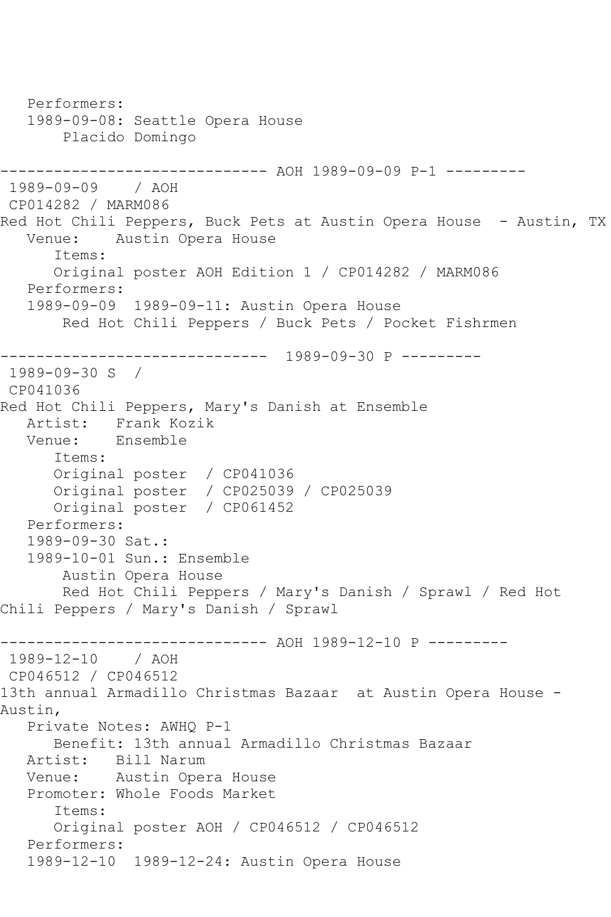```
 Performers:
   1989-09-08: Seattle Opera House
        Placido Domingo
------------------------------ AOH 1989-09-09 P-1 ---------
1989-09-09 / AOH 
CP014282 / MARM086
Red Hot Chili Peppers, Buck Pets at Austin Opera House - Austin, TX
   Venue: Austin Opera House
       Items:
       Original poster AOH Edition 1 / CP014282 / MARM086
   Performers:
   1989-09-09 1989-09-11: Austin Opera House
        Red Hot Chili Peppers / Buck Pets / Pocket Fishrmen
     ------------------------------ 1989-09-30 P ---------
1989-09-30 S / 
CP041036
Red Hot Chili Peppers, Mary's Danish at Ensemble
  Artist: Frank Kozik<br>Venue: Ensemble
            Ensemble
       Items:
      Original poster / CP041036
      Original poster / CP025039 / CP025039
      Original poster / CP061452
   Performers:
   1989-09-30 Sat.:
   1989-10-01 Sun.: Ensemble
        Austin Opera House
        Red Hot Chili Peppers / Mary's Danish / Sprawl / Red Hot 
Chili Peppers / Mary's Danish / Sprawl
------------------------------ AOH 1989-12-10 P ---------
1989-12-10 / AOH 
CP046512 / CP046512
13th annual Armadillo Christmas Bazaar at Austin Opera House -
Austin,
   Private Notes: AWHQ P-1
      Benefit: 13th annual Armadillo Christmas Bazaar
   Artist: Bill Narum
   Venue: Austin Opera House
   Promoter: Whole Foods Market
       Items:
      Original poster AOH / CP046512 / CP046512
   Performers:
   1989-12-10 1989-12-24: Austin Opera House
```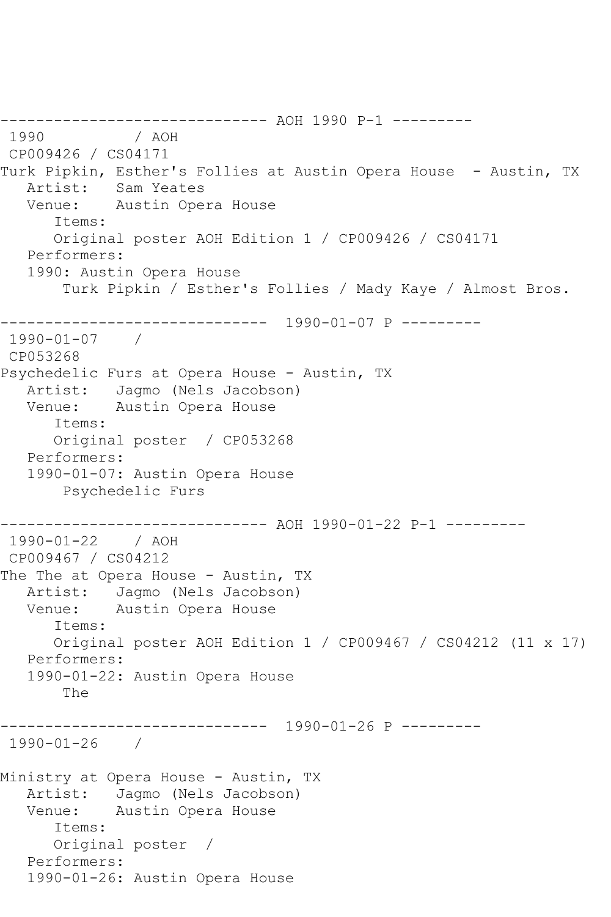```
------------------------------ AOH 1990 P-1 ---------
1990 / AOH 
CP009426 / CS04171
Turk Pipkin, Esther's Follies at Austin Opera House - Austin, TX<br>Artist:   Sam Yeates
           Sam Yeates
   Venue: Austin Opera House
       Items:
       Original poster AOH Edition 1 / CP009426 / CS04171
   Performers:
    1990: Austin Opera House
        Turk Pipkin / Esther's Follies / Mady Kaye / Almost Bros.
_______________
                ------------------------------ 1990-01-07 P ---------
1990-01-07 / 
CP053268
Psychedelic Furs at Opera House - Austin, TX
   Artist: Jagmo (Nels Jacobson)
   Venue: Austin Opera House
       Items:
       Original poster / CP053268
    Performers:
    1990-01-07: Austin Opera House
        Psychedelic Furs
------------------------------ AOH 1990-01-22 P-1 ---------
1990-01-22 / AOH 
CP009467 / CS04212
The The at Opera House - Austin, TX
   Artist: Jagmo (Nels Jacobson)
   Venue: Austin Opera House
       Items:
       Original poster AOH Edition 1 / CP009467 / CS04212 (11 x 17)
    Performers:
    1990-01-22: Austin Opera House
        The
                 ------------------------------ 1990-01-26 P ---------
1990-01-26 / 
Ministry at Opera House - Austin, TX
   Artist: Jagmo (Nels Jacobson)
   Venue: Austin Opera House
       Items:
       Original poster / 
   Performers:
    1990-01-26: Austin Opera House
```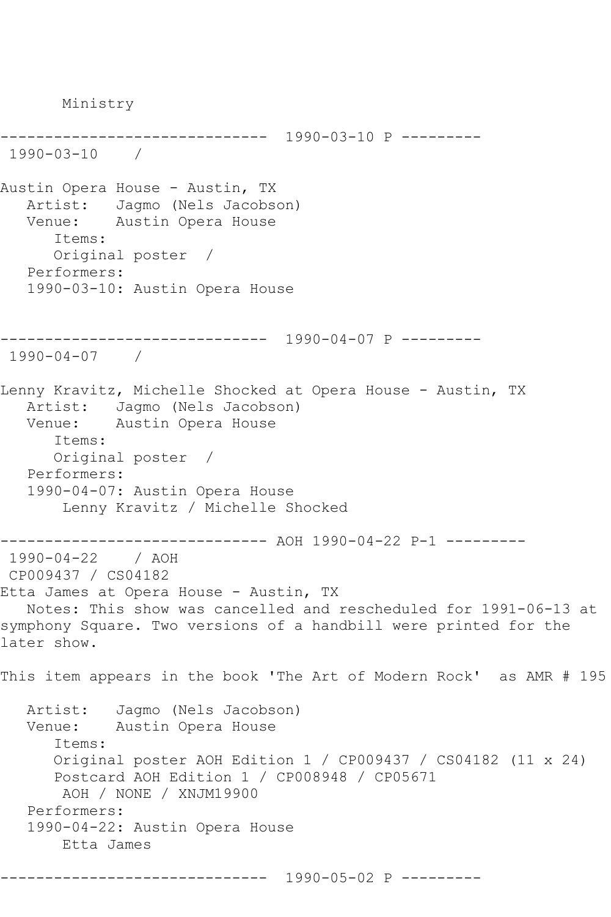Ministry ------------------------------ 1990-03-10 P --------- 1990-03-10 / Austin Opera House - Austin, TX Artist: Jagmo (Nels Jacobson) Venue: Austin Opera House Items: Original poster / Performers: 1990-03-10: Austin Opera House ------------------------------ 1990-04-07 P --------- 1990-04-07 / Lenny Kravitz, Michelle Shocked at Opera House - Austin, TX Artist: Jagmo (Nels Jacobson) Venue: Austin Opera House Items: Original poster / Performers: 1990-04-07: Austin Opera House Lenny Kravitz / Michelle Shocked ------------------------------ AOH 1990-04-22 P-1 --------- 1990-04-22 / AOH CP009437 / CS04182 Etta James at Opera House - Austin, TX Notes: This show was cancelled and rescheduled for 1991-06-13 at symphony Square. Two versions of a handbill were printed for the later show. This item appears in the book 'The Art of Modern Rock' as AMR # 195 Artist: Jagmo (Nels Jacobson) Venue: Austin Opera House Items: Original poster AOH Edition 1 / CP009437 / CS04182 (11 x 24) Postcard AOH Edition 1 / CP008948 / CP05671 AOH / NONE / XNJM19900 Performers: 1990-04-22: Austin Opera House Etta James ------------------------------ 1990-05-02 P ---------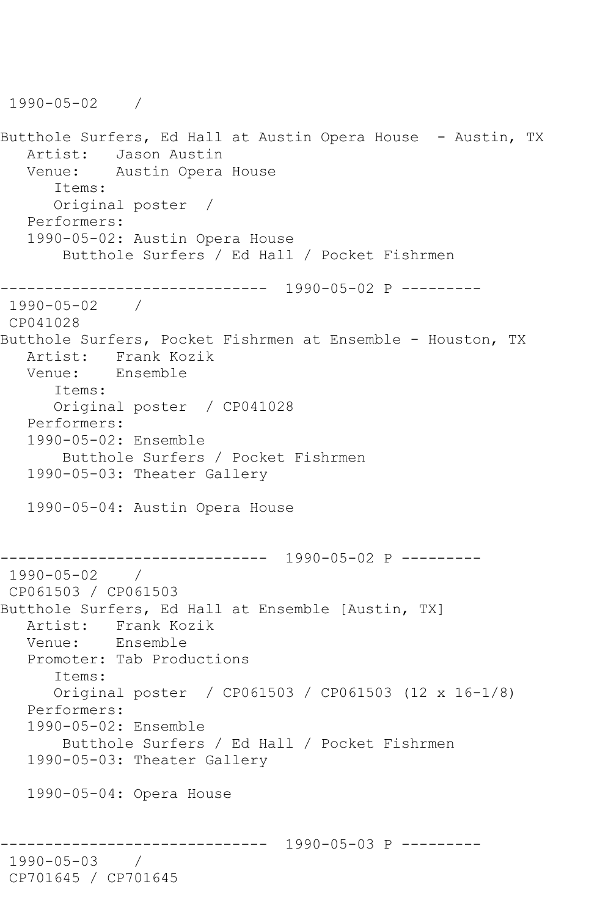1990-05-02 / Butthole Surfers, Ed Hall at Austin Opera House - Austin, TX Artist: Jason Austin<br>Venue: Austin Opera Austin Opera House Items: Original poster / Performers: 1990-05-02: Austin Opera House Butthole Surfers / Ed Hall / Pocket Fishrmen ------------------------------ 1990-05-02 P --------- 1990-05-02 / CP041028 Butthole Surfers, Pocket Fishrmen at Ensemble - Houston, TX Artist: Frank Kozik Venue: Ensemble Items: Original poster / CP041028 Performers: 1990-05-02: Ensemble Butthole Surfers / Pocket Fishrmen 1990-05-03: Theater Gallery 1990-05-04: Austin Opera House ------------------------------ 1990-05-02 P --------- 1990-05-02 / CP061503 / CP061503 Butthole Surfers, Ed Hall at Ensemble [Austin, TX] Artist: Frank Kozik<br>Venue: Ensemble Ensemble Promoter: Tab Productions Items: Original poster / CP061503 / CP061503 (12 x 16-1/8) Performers: 1990-05-02: Ensemble Butthole Surfers / Ed Hall / Pocket Fishrmen 1990-05-03: Theater Gallery 1990-05-04: Opera House ------------------------------ 1990-05-03 P --------- 1990-05-03 / CP701645 / CP701645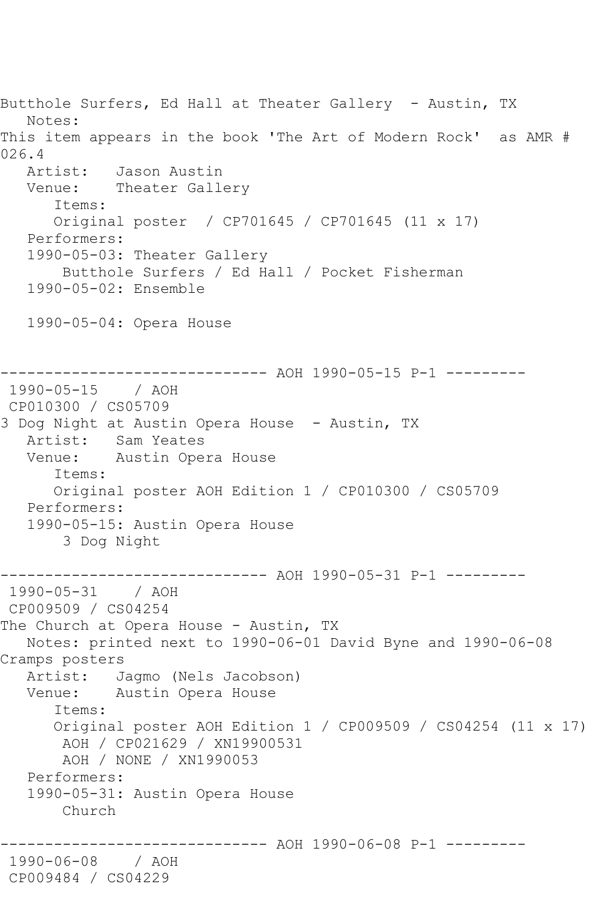Butthole Surfers, Ed Hall at Theater Gallery - Austin, TX Notes: This item appears in the book 'The Art of Modern Rock' as AMR # 026.4 Artist: Jason Austin Venue: Theater Gallery Items: Original poster / CP701645 / CP701645 (11 x 17) Performers: 1990-05-03: Theater Gallery Butthole Surfers / Ed Hall / Pocket Fisherman 1990-05-02: Ensemble 1990-05-04: Opera House ------------------------------ AOH 1990-05-15 P-1 --------- 1990-05-15 / AOH CP010300 / CS05709 3 Dog Night at Austin Opera House - Austin, TX Artist: Sam Yeates Venue: Austin Opera House Items: Original poster AOH Edition 1 / CP010300 / CS05709 Performers: 1990-05-15: Austin Opera House 3 Dog Night ------------------------------ AOH 1990-05-31 P-1 --------- 1990-05-31 / AOH CP009509 / CS04254 The Church at Opera House - Austin, TX Notes: printed next to 1990-06-01 David Byne and 1990-06-08 Cramps posters Artist: Jagmo (Nels Jacobson)<br>Venue: Austin Opera House Austin Opera House Items: Original poster AOH Edition 1 / CP009509 / CS04254 (11 x 17) AOH / CP021629 / XN19900531 AOH / NONE / XN1990053 Performers: 1990-05-31: Austin Opera House Church ------------------------------ AOH 1990-06-08 P-1 --------- 1990-06-08 / AOH CP009484 / CS04229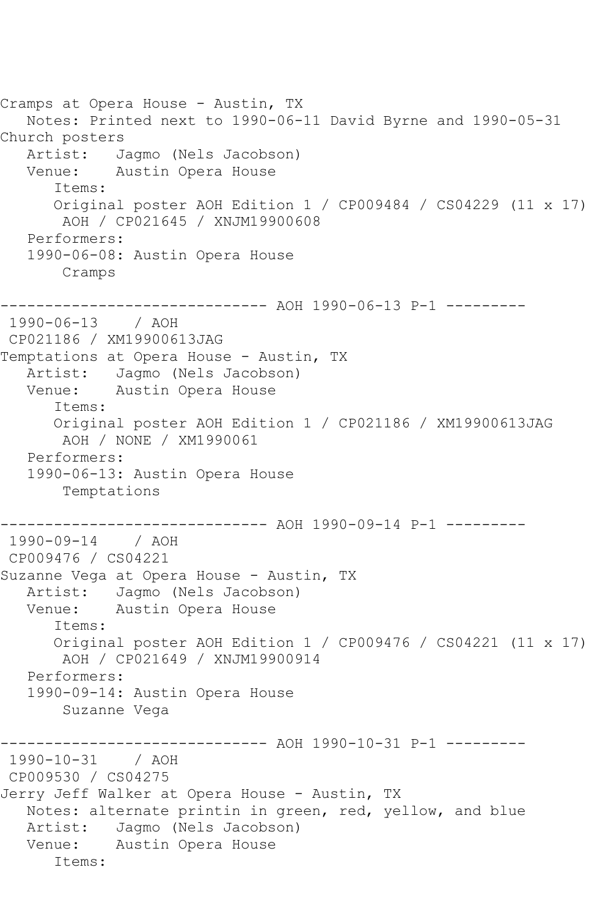```
Cramps at Opera House - Austin, TX
   Notes: Printed next to 1990-06-11 David Byrne and 1990-05-31 
Church posters
  Artist: Jagmo (Nels Jacobson)<br>Venue: Austin Opera House
            Austin Opera House
       Items:
       Original poster AOH Edition 1 / CP009484 / CS04229 (11 x 17)
        AOH / CP021645 / XNJM19900608
    Performers:
    1990-06-08: Austin Opera House
        Cramps
------------------------------ AOH 1990-06-13 P-1 ---------
1990-06-13 / AOH 
CP021186 / XM19900613JAG
Temptations at Opera House - Austin, TX
   Artist: Jagmo (Nels Jacobson)
   Venue: Austin Opera House
       Items:
       Original poster AOH Edition 1 / CP021186 / XM19900613JAG
        AOH / NONE / XM1990061
   Performers:
    1990-06-13: Austin Opera House
        Temptations
                -------------- AOH 1990-09-14 P-1 ---------
1990-09-14 / AOH 
CP009476 / CS04221
Suzanne Vega at Opera House - Austin, TX
   Artist: Jagmo (Nels Jacobson)
   Venue: Austin Opera House
       Items:
       Original poster AOH Edition 1 / CP009476 / CS04221 (11 x 17)
        AOH / CP021649 / XNJM19900914
    Performers:
    1990-09-14: Austin Opera House
        Suzanne Vega
                ------------------------------ AOH 1990-10-31 P-1 ---------
1990-10-31 / AOH 
CP009530 / CS04275
Jerry Jeff Walker at Opera House - Austin, TX
   Notes: alternate printin in green, red, yellow, and blue
   Artist: Jagmo (Nels Jacobson)
   Venue: Austin Opera House
       Items:
```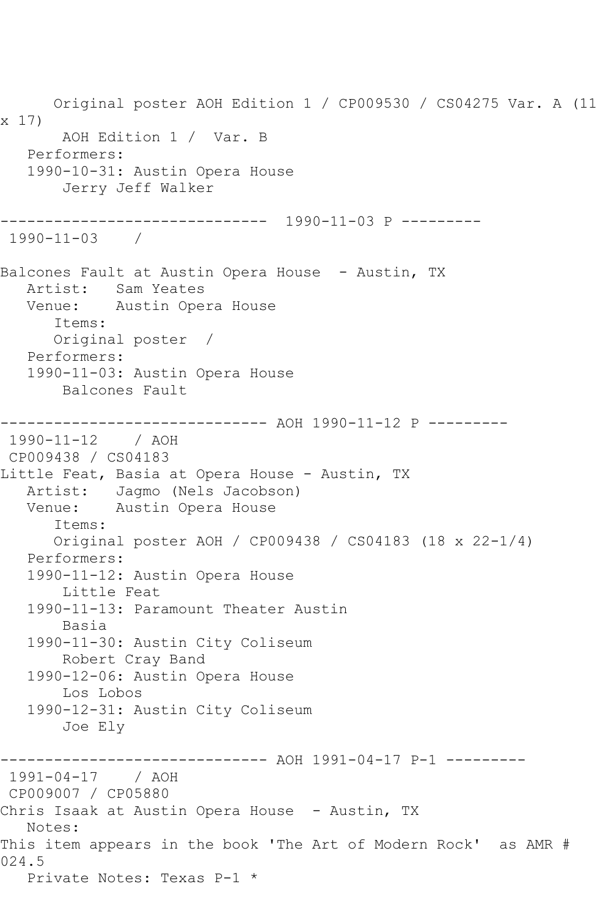Original poster AOH Edition 1 / CP009530 / CS04275 Var. A (11 x 17) AOH Edition 1 / Var. B Performers: 1990-10-31: Austin Opera House Jerry Jeff Walker ------------------------------ 1990-11-03 P --------- 1990-11-03 / Balcones Fault at Austin Opera House - Austin, TX Artist: Sam Yeates<br>Venue: Austin Ope Austin Opera House Items: Original poster / Performers: 1990-11-03: Austin Opera House Balcones Fault ------------------------------ AOH 1990-11-12 P --------- 1990-11-12 / AOH CP009438 / CS04183 Little Feat, Basia at Opera House - Austin, TX Artist: Jagmo (Nels Jacobson) Venue: Austin Opera House Items: Original poster AOH / CP009438 / CS04183 (18 x 22-1/4) Performers: 1990-11-12: Austin Opera House Little Feat 1990-11-13: Paramount Theater Austin Basia 1990-11-30: Austin City Coliseum Robert Cray Band 1990-12-06: Austin Opera House Los Lobos 1990-12-31: Austin City Coliseum Joe Ely ------------------------------ AOH 1991-04-17 P-1 --------- 1991-04-17 / AOH CP009007 / CP05880 Chris Isaak at Austin Opera House - Austin, TX Notes: This item appears in the book 'The Art of Modern Rock' as AMR # 024.5 Private Notes: Texas P-1 \*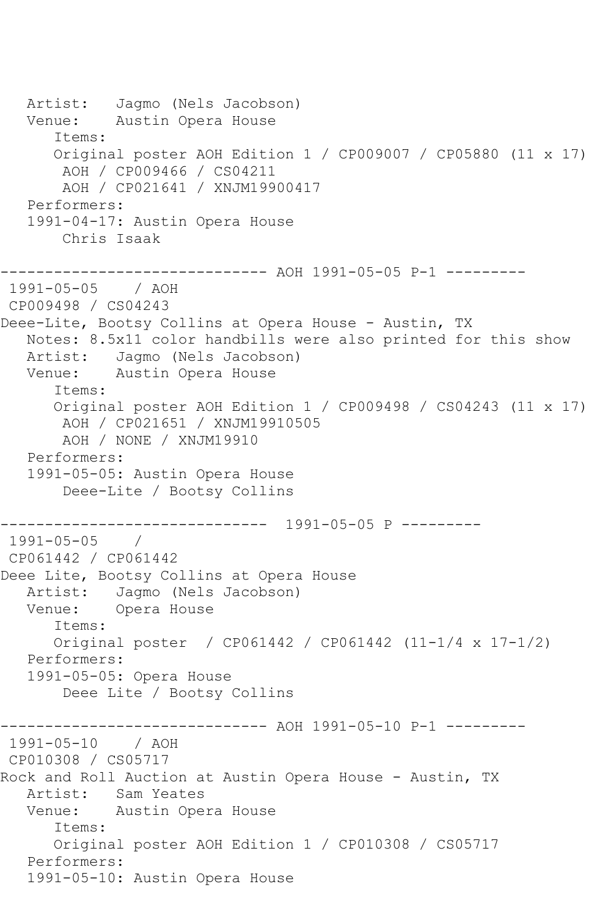Artist: Jagmo (Nels Jacobson) Venue: Austin Opera House Items: Original poster AOH Edition 1 / CP009007 / CP05880 (11 x 17) AOH / CP009466 / CS04211 AOH / CP021641 / XNJM19900417 Performers: 1991-04-17: Austin Opera House Chris Isaak ------------------------------ AOH 1991-05-05 P-1 --------- 1991-05-05 / AOH CP009498 / CS04243 Deee-Lite, Bootsy Collins at Opera House - Austin, TX Notes: 8.5x11 color handbills were also printed for this show Artist: Jagmo (Nels Jacobson) Venue: Austin Opera House Items: Original poster AOH Edition 1 / CP009498 / CS04243 (11 x 17) AOH / CP021651 / XNJM19910505 AOH / NONE / XNJM19910 Performers: 1991-05-05: Austin Opera House Deee-Lite / Bootsy Collins ------------------------------ 1991-05-05 P --------- 1991-05-05 / CP061442 / CP061442 Deee Lite, Bootsy Collins at Opera House<br>Artist: Jaqmo (Nels Jacobson) Jagmo (Nels Jacobson) Venue: Opera House Items: Original poster / CP061442 / CP061442 (11-1/4 x 17-1/2) Performers: 1991-05-05: Opera House Deee Lite / Bootsy Collins ------------------------------ AOH 1991-05-10 P-1 --------- 1991-05-10 / AOH CP010308 / CS05717 Rock and Roll Auction at Austin Opera House - Austin, TX Artist: Sam Yeates Venue: Austin Opera House Items: Original poster AOH Edition 1 / CP010308 / CS05717 Performers: 1991-05-10: Austin Opera House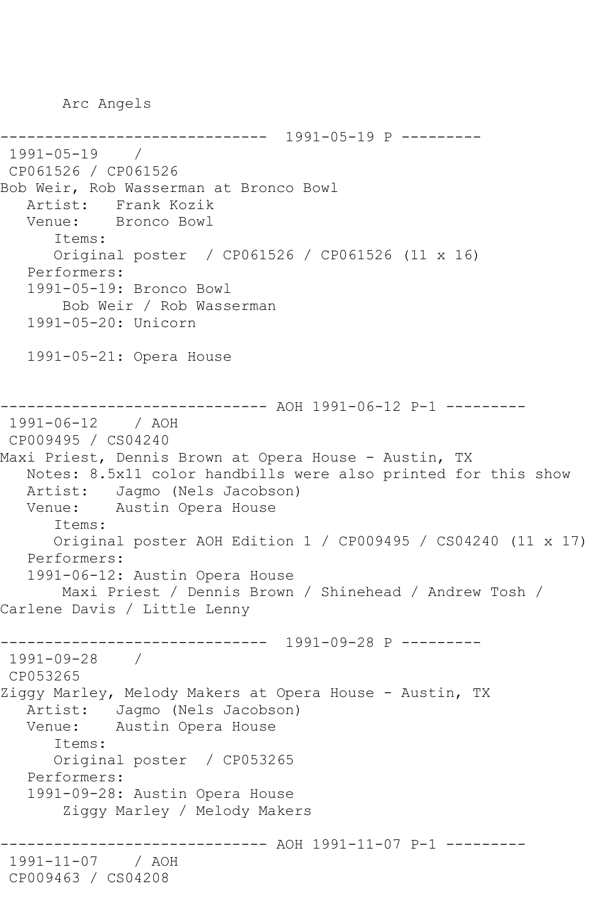Arc Angels

------------------------------ 1991-05-19 P --------- 1991-05-19 / CP061526 / CP061526 Bob Weir, Rob Wasserman at Bronco Bowl Artist: Frank Kozik Venue: Bronco Bowl Items: Original poster / CP061526 / CP061526 (11 x 16) Performers: 1991-05-19: Bronco Bowl Bob Weir / Rob Wasserman 1991-05-20: Unicorn 1991-05-21: Opera House ----------- AOH 1991-06-12 P-1 ---------1991-06-12 / AOH CP009495 / CS04240 Maxi Priest, Dennis Brown at Opera House - Austin, TX Notes: 8.5x11 color handbills were also printed for this show Artist: Jagmo (Nels Jacobson) Venue: Austin Opera House Items: Original poster AOH Edition 1 / CP009495 / CS04240 (11 x 17) Performers: 1991-06-12: Austin Opera House Maxi Priest / Dennis Brown / Shinehead / Andrew Tosh / Carlene Davis / Little Lenny ------------------------------ 1991-09-28 P --------- 1991-09-28 / CP053265 Ziggy Marley, Melody Makers at Opera House - Austin, TX Artist: Jagmo (Nels Jacobson) Venue: Austin Opera House Items: Original poster / CP053265 Performers: 1991-09-28: Austin Opera House Ziggy Marley / Melody Makers ----------- AOH 1991-11-07 P-1 ---------1991-11-07 / AOH CP009463 / CS04208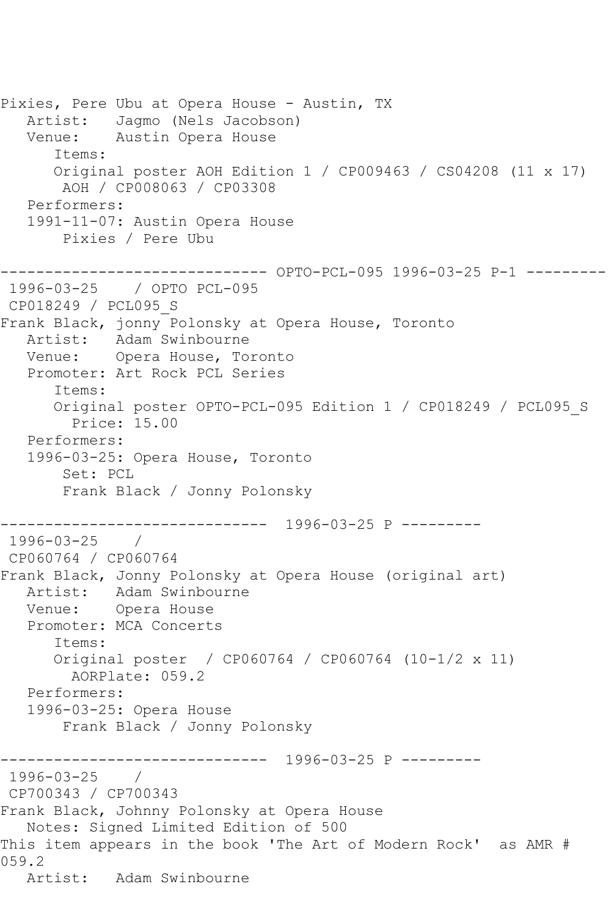Pixies, Pere Ubu at Opera House - Austin, TX Artist: Jagmo (Nels Jacobson) Venue: Austin Opera House Items: Original poster AOH Edition 1 / CP009463 / CS04208 (11 x 17) AOH / CP008063 / CP03308 Performers: 1991-11-07: Austin Opera House Pixies / Pere Ubu ------------------------------ OPTO-PCL-095 1996-03-25 P-1 --------- 1996-03-25 / OPTO PCL-095 CP018249 / PCL095\_S Frank Black, jonny Polonsky at Opera House, Toronto Artist: Adam Swinbourne Venue: Opera House, Toronto Promoter: Art Rock PCL Series Items: Original poster OPTO-PCL-095 Edition 1 / CP018249 / PCL095\_S Price: 15.00 Performers: 1996-03-25: Opera House, Toronto Set: PCL Frank Black / Jonny Polonsky ------------------------------ 1996-03-25 P --------- 1996-03-25 / CP060764 / CP060764 Frank Black, Jonny Polonsky at Opera House (original art) Artist: Adam Swinbourne Venue: Opera House Promoter: MCA Concerts Items: Original poster / CP060764 / CP060764 (10-1/2 x 11) AORPlate: 059.2 Performers: 1996-03-25: Opera House Frank Black / Jonny Polonsky ------------------------------ 1996-03-25 P --------- 1996-03-25 / CP700343 / CP700343 Frank Black, Johnny Polonsky at Opera House Notes: Signed Limited Edition of 500 This item appears in the book 'The Art of Modern Rock' as AMR # 059.2 Artist: Adam Swinbourne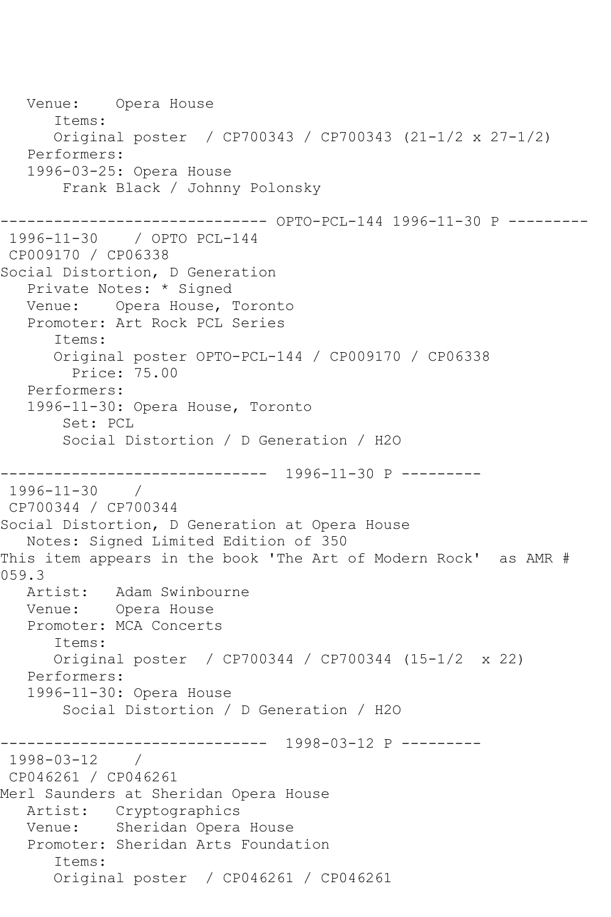Venue: Opera House Items: Original poster / CP700343 / CP700343 (21-1/2 x 27-1/2) Performers: 1996-03-25: Opera House Frank Black / Johnny Polonsky ------------------------------ OPTO-PCL-144 1996-11-30 P --------- 1996-11-30 / OPTO PCL-144 CP009170 / CP06338 Social Distortion, D Generation Private Notes: \* Signed Venue: Opera House, Toronto Promoter: Art Rock PCL Series Items: Original poster OPTO-PCL-144 / CP009170 / CP06338 Price: 75.00 Performers: 1996-11-30: Opera House, Toronto Set: PCL Social Distortion / D Generation / H2O ------------------------------ 1996-11-30 P --------- 1996-11-30 / CP700344 / CP700344 Social Distortion, D Generation at Opera House Notes: Signed Limited Edition of 350 This item appears in the book 'The Art of Modern Rock' as AMR # 059.3 Artist: Adam Swinbourne Venue: Opera House Promoter: MCA Concerts Items: Original poster / CP700344 / CP700344 (15-1/2 x 22) Performers: 1996-11-30: Opera House Social Distortion / D Generation / H2O ------------------------------ 1998-03-12 P ---------  $1998 - 03 - 12$ CP046261 / CP046261 Merl Saunders at Sheridan Opera House Artist: Cryptographics Venue: Sheridan Opera House Promoter: Sheridan Arts Foundation Items: Original poster / CP046261 / CP046261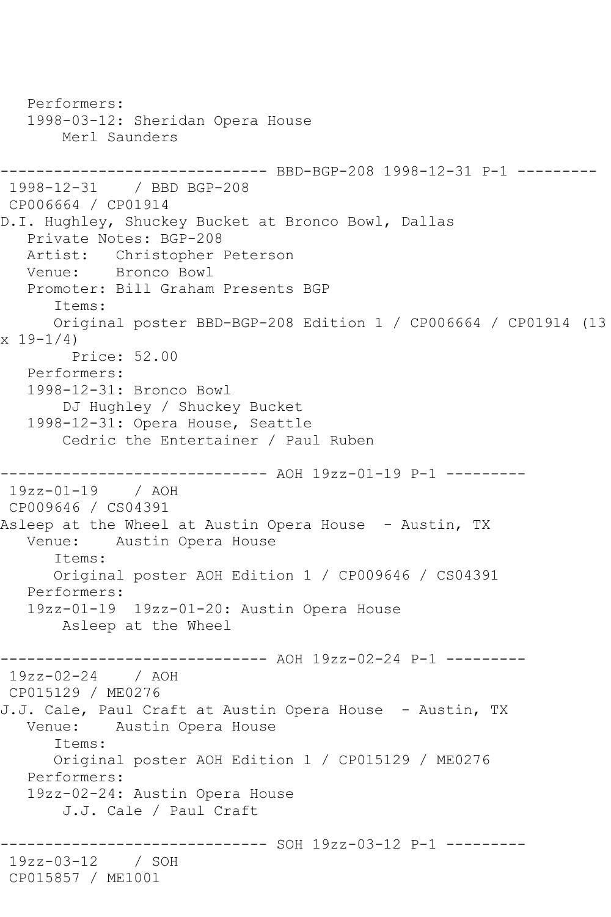Performers: 1998-03-12: Sheridan Opera House Merl Saunders ------------------------------ BBD-BGP-208 1998-12-31 P-1 --------- 1998-12-31 / BBD BGP-208 CP006664 / CP01914 D.I. Hughley, Shuckey Bucket at Bronco Bowl, Dallas Private Notes: BGP-208 Artist: Christopher Peterson Venue: Bronco Bowl Promoter: Bill Graham Presents BGP Items: Original poster BBD-BGP-208 Edition 1 / CP006664 / CP01914 (13  $x 19 - 1/4$  Price: 52.00 Performers: 1998-12-31: Bronco Bowl DJ Hughley / Shuckey Bucket 1998-12-31: Opera House, Seattle Cedric the Entertainer / Paul Ruben ------------------------------ AOH 19zz-01-19 P-1 --------- 19zz-01-19 / AOH CP009646 / CS04391 Asleep at the Wheel at Austin Opera House - Austin, TX Venue: Austin Opera House Items: Original poster AOH Edition 1 / CP009646 / CS04391 Performers: 19zz-01-19 19zz-01-20: Austin Opera House Asleep at the Wheel ------------------------------ AOH 19zz-02-24 P-1 --------- 19zz-02-24 / AOH CP015129 / ME0276 J.J. Cale, Paul Craft at Austin Opera House - Austin, TX Venue: Austin Opera House Items: Original poster AOH Edition 1 / CP015129 / ME0276 Performers: 19zz-02-24: Austin Opera House J.J. Cale / Paul Craft ------------------------------ SOH 19zz-03-12 P-1 --------- 19zz-03-12 / SOH CP015857 / ME1001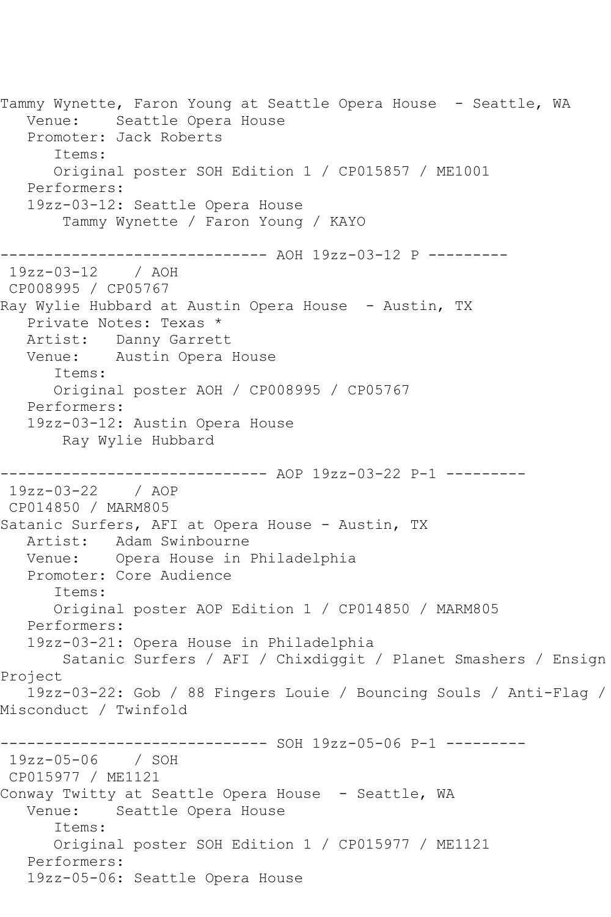Tammy Wynette, Faron Young at Seattle Opera House - Seattle, WA Venue: Seattle Opera House Promoter: Jack Roberts Items: Original poster SOH Edition 1 / CP015857 / ME1001 Performers: 19zz-03-12: Seattle Opera House Tammy Wynette / Faron Young / KAYO ------------------------------ AOH 19zz-03-12 P --------- 19zz-03-12 / AOH CP008995 / CP05767 Ray Wylie Hubbard at Austin Opera House - Austin, TX Private Notes: Texas \* Artist: Danny Garrett Venue: Austin Opera House Items: Original poster AOH / CP008995 / CP05767 Performers: 19zz-03-12: Austin Opera House Ray Wylie Hubbard ------------------------------ AOP 19zz-03-22 P-1 --------- 19zz-03-22 / AOP CP014850 / MARM805 Satanic Surfers, AFI at Opera House - Austin, TX Artist: Adam Swinbourne Venue: Opera House in Philadelphia Promoter: Core Audience Items: Original poster AOP Edition 1 / CP014850 / MARM805 Performers: 19zz-03-21: Opera House in Philadelphia Satanic Surfers / AFI / Chixdiggit / Planet Smashers / Ensign Project 19zz-03-22: Gob / 88 Fingers Louie / Bouncing Souls / Anti-Flag / Misconduct / Twinfold ------------------------------ SOH 19zz-05-06 P-1 --------- 19zz-05-06 / SOH CP015977 / ME1121 Conway Twitty at Seattle Opera House - Seattle, WA Venue: Seattle Opera House Items: Original poster SOH Edition 1 / CP015977 / ME1121 Performers: 19zz-05-06: Seattle Opera House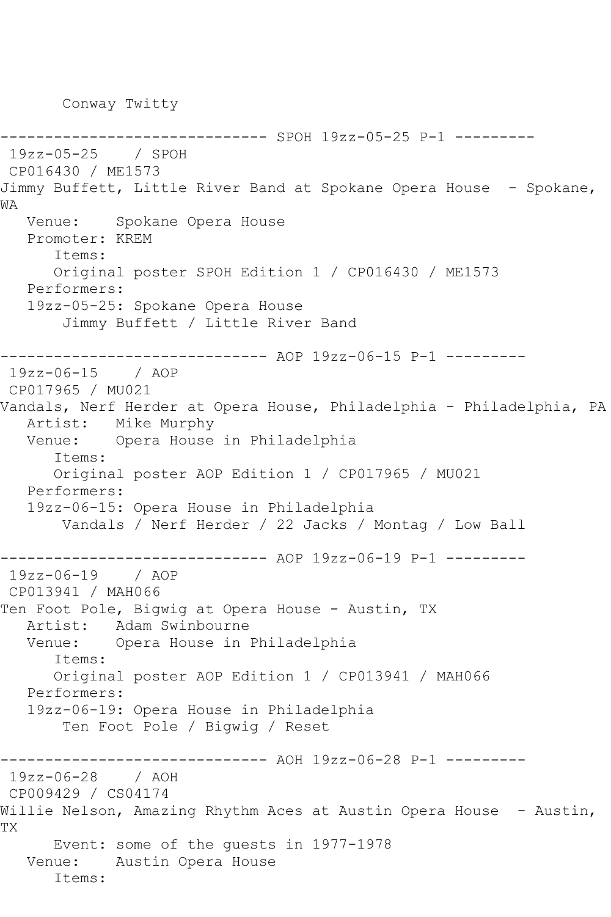Conway Twitty

------------------------------ SPOH 19zz-05-25 P-1 --------- 19zz-05-25 / SPOH CP016430 / ME1573 Jimmy Buffett, Little River Band at Spokane Opera House - Spokane, WA Venue: Spokane Opera House Promoter: KREM Items: Original poster SPOH Edition 1 / CP016430 / ME1573 Performers: 19zz-05-25: Spokane Opera House Jimmy Buffett / Little River Band ------------------------------ AOP 19zz-06-15 P-1 --------- 19zz-06-15 / AOP CP017965 / MU021 Vandals, Nerf Herder at Opera House, Philadelphia - Philadelphia, PA Artist: Mike Murphy Venue: Opera House in Philadelphia Items: Original poster AOP Edition 1 / CP017965 / MU021 Performers: 19zz-06-15: Opera House in Philadelphia Vandals / Nerf Herder / 22 Jacks / Montag / Low Ball ------------------------------ AOP 19zz-06-19 P-1 --------- 19zz-06-19 / AOP CP013941 / MAH066 Ten Foot Pole, Bigwig at Opera House - Austin, TX Artist: Adam Swinbourne Venue: Opera House in Philadelphia Items: Original poster AOP Edition 1 / CP013941 / MAH066 Performers: 19zz-06-19: Opera House in Philadelphia Ten Foot Pole / Bigwig / Reset ------------------------------ AOH 19zz-06-28 P-1 --------- 19zz-06-28 / AOH CP009429 / CS04174 Willie Nelson, Amazing Rhythm Aces at Austin Opera House - Austin, TX Event: some of the guests in 1977-1978 Venue: Austin Opera House Items: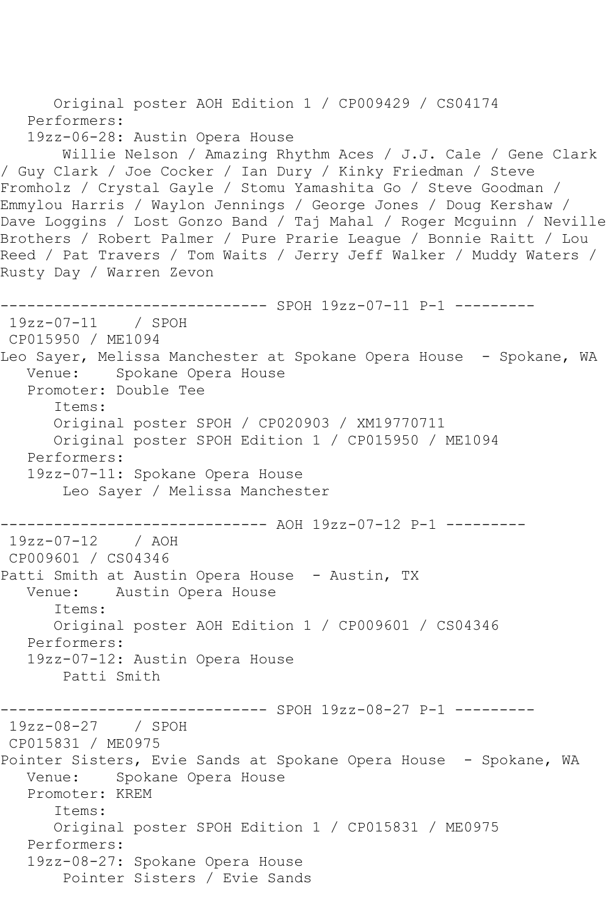```
 Original poster AOH Edition 1 / CP009429 / CS04174
    Performers:
    19zz-06-28: Austin Opera House
        Willie Nelson / Amazing Rhythm Aces / J.J. Cale / Gene Clark 
/ Guy Clark / Joe Cocker / Ian Dury / Kinky Friedman / Steve 
Fromholz / Crystal Gayle / Stomu Yamashita Go / Steve Goodman / 
Emmylou Harris / Waylon Jennings / George Jones / Doug Kershaw / 
Dave Loggins / Lost Gonzo Band / Taj Mahal / Roger Mcguinn / Neville 
Brothers / Robert Palmer / Pure Prarie League / Bonnie Raitt / Lou 
Reed / Pat Travers / Tom Waits / Jerry Jeff Walker / Muddy Waters / 
Rusty Day / Warren Zevon
          ------------------------------ SPOH 19zz-07-11 P-1 ---------
19zz-07-11 / SPOH 
CP015950 / ME1094
Leo Sayer, Melissa Manchester at Spokane Opera House - Spokane, WA
   Venue: Spokane Opera House
    Promoter: Double Tee
       Items:
       Original poster SPOH / CP020903 / XM19770711
       Original poster SPOH Edition 1 / CP015950 / ME1094
   Performers:
    19zz-07-11: Spokane Opera House
        Leo Sayer / Melissa Manchester
                ------------------------------ AOH 19zz-07-12 P-1 ---------
19zz-07-12 / AOH 
CP009601 / CS04346
Patti Smith at Austin Opera House - Austin, TX
   Venue: Austin Opera House
       Items:
       Original poster AOH Edition 1 / CP009601 / CS04346
    Performers:
    19zz-07-12: Austin Opera House
        Patti Smith
------------------------------ SPOH 19zz-08-27 P-1 ---------
19zz-08-27 / SPOH 
CP015831 / ME0975
Pointer Sisters, Evie Sands at Spokane Opera House - Spokane, WA<br>Venue: Spokane Opera House
             Spokane Opera House
    Promoter: KREM
       Items:
       Original poster SPOH Edition 1 / CP015831 / ME0975
   Performers:
    19zz-08-27: Spokane Opera House
        Pointer Sisters / Evie Sands
```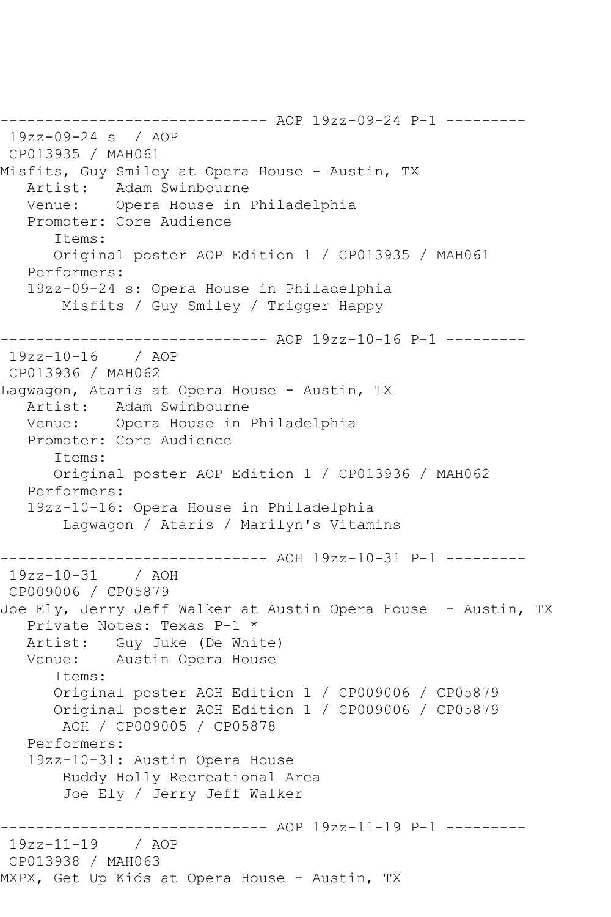------------------------------ AOP 19zz-09-24 P-1 --------- 19zz-09-24 s / AOP CP013935 / MAH061 Misfits, Guy Smiley at Opera House - Austin, TX Artist: Adam Swinbourne Venue: Opera House in Philadelphia Promoter: Core Audience Items: Original poster AOP Edition 1 / CP013935 / MAH061 Performers: 19zz-09-24 s: Opera House in Philadelphia Misfits / Guy Smiley / Trigger Happy ------------------------------ AOP 19zz-10-16 P-1 --------- 19zz-10-16 / AOP CP013936 / MAH062 Lagwagon, Ataris at Opera House - Austin, TX<br>Artist: Adam Swinbourne Adam Swinbourne Venue: Opera House in Philadelphia Promoter: Core Audience Items: Original poster AOP Edition 1 / CP013936 / MAH062 Performers: 19zz-10-16: Opera House in Philadelphia Lagwagon / Ataris / Marilyn's Vitamins ------------------------------ AOH 19zz-10-31 P-1 ---------  $19zz-10-31$ CP009006 / CP05879 Joe Ely, Jerry Jeff Walker at Austin Opera House - Austin, TX Private Notes: Texas P-1 \* Artist: Guy Juke (De White)<br>Venue: Austin Opera House Austin Opera House Items: Original poster AOH Edition 1 / CP009006 / CP05879 Original poster AOH Edition 1 / CP009006 / CP05879 AOH / CP009005 / CP05878 Performers: 19zz-10-31: Austin Opera House Buddy Holly Recreational Area Joe Ely / Jerry Jeff Walker ------------------------------ AOP 19zz-11-19 P-1 --------- 19zz-11-19 / AOP CP013938 / MAH063 MXPX, Get Up Kids at Opera House - Austin, TX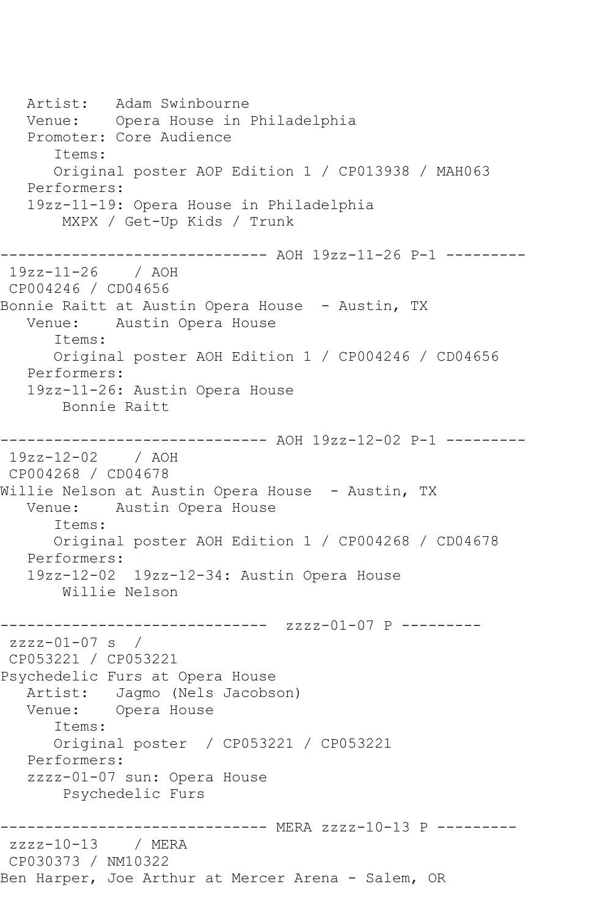Artist: Adam Swinbourne Venue: Opera House in Philadelphia Promoter: Core Audience Items: Original poster AOP Edition 1 / CP013938 / MAH063 Performers: 19zz-11-19: Opera House in Philadelphia MXPX / Get-Up Kids / Trunk ------------------------------ AOH 19zz-11-26 P-1 --------- 19zz-11-26 / AOH CP004246 / CD04656 Bonnie Raitt at Austin Opera House - Austin, TX Venue: Austin Opera House Items: Original poster AOH Edition 1 / CP004246 / CD04656 Performers: 19zz-11-26: Austin Opera House Bonnie Raitt ------------------------------ AOH 19zz-12-02 P-1 --------- 19zz-12-02 / AOH CP004268 / CD04678 Willie Nelson at Austin Opera House - Austin, TX Venue: Austin Opera House Items: Original poster AOH Edition 1 / CP004268 / CD04678 Performers: 19zz-12-02 19zz-12-34: Austin Opera House Willie Nelson ------------------------------ zzzz-01-07 P -------- zzzz-01-07 s / CP053221 / CP053221 Psychedelic Furs at Opera House Artist: Jagmo (Nels Jacobson)<br>Venue: Opera House Opera House Items: Original poster / CP053221 / CP053221 Performers: zzzz-01-07 sun: Opera House Psychedelic Furs ------------------------------ MERA zzzz-10-13 P -------- zzzz-10-13 / MERA CP030373 / NM10322 Ben Harper, Joe Arthur at Mercer Arena - Salem, OR